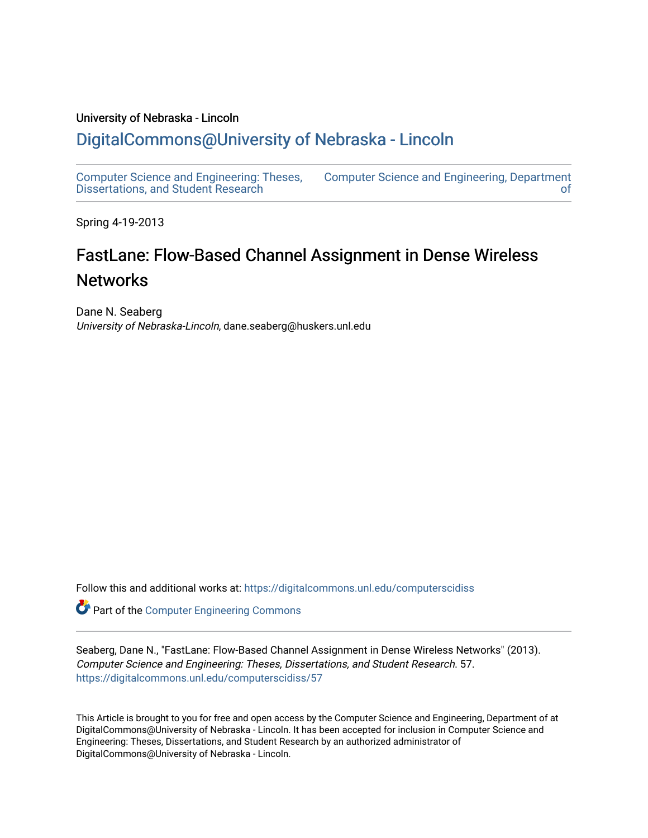#### University of Nebraska - Lincoln

### [DigitalCommons@University of Nebraska - Lincoln](https://digitalcommons.unl.edu/)

[Computer Science and Engineering: Theses,](https://digitalcommons.unl.edu/computerscidiss)  [Dissertations, and Student Research](https://digitalcommons.unl.edu/computerscidiss)  [Computer Science and Engineering, Department](https://digitalcommons.unl.edu/computerscienceandengineering)  [of](https://digitalcommons.unl.edu/computerscienceandengineering) 

Spring 4-19-2013

# FastLane: Flow-Based Channel Assignment in Dense Wireless **Networks**

Dane N. Seaberg University of Nebraska-Lincoln, dane.seaberg@huskers.unl.edu

Follow this and additional works at: [https://digitalcommons.unl.edu/computerscidiss](https://digitalcommons.unl.edu/computerscidiss?utm_source=digitalcommons.unl.edu%2Fcomputerscidiss%2F57&utm_medium=PDF&utm_campaign=PDFCoverPages) 

Part of the [Computer Engineering Commons](http://network.bepress.com/hgg/discipline/258?utm_source=digitalcommons.unl.edu%2Fcomputerscidiss%2F57&utm_medium=PDF&utm_campaign=PDFCoverPages) 

Seaberg, Dane N., "FastLane: Flow-Based Channel Assignment in Dense Wireless Networks" (2013). Computer Science and Engineering: Theses, Dissertations, and Student Research. 57. [https://digitalcommons.unl.edu/computerscidiss/57](https://digitalcommons.unl.edu/computerscidiss/57?utm_source=digitalcommons.unl.edu%2Fcomputerscidiss%2F57&utm_medium=PDF&utm_campaign=PDFCoverPages) 

This Article is brought to you for free and open access by the Computer Science and Engineering, Department of at DigitalCommons@University of Nebraska - Lincoln. It has been accepted for inclusion in Computer Science and Engineering: Theses, Dissertations, and Student Research by an authorized administrator of DigitalCommons@University of Nebraska - Lincoln.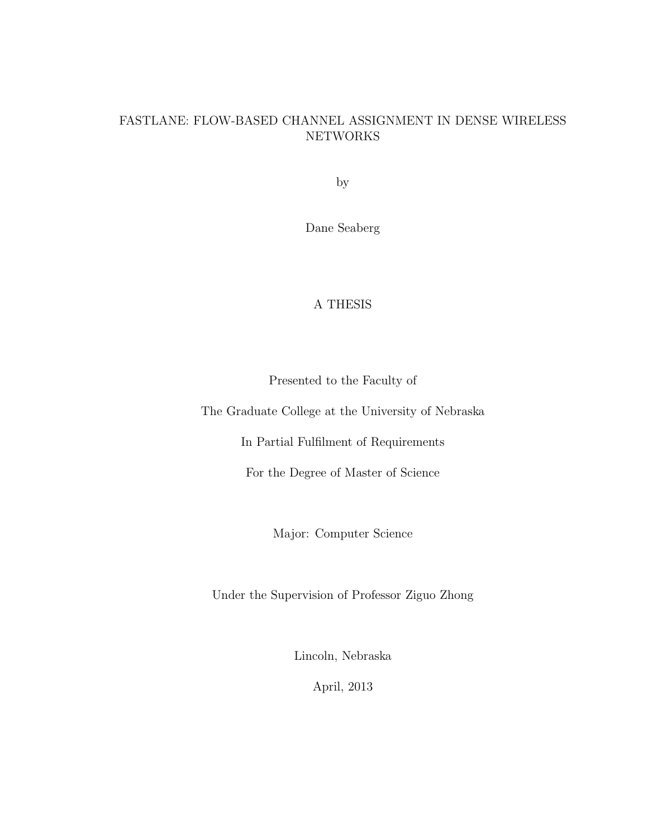#### FASTLANE: FLOW-BASED CHANNEL ASSIGNMENT IN DENSE WIRELESS NETWORKS

by

Dane Seaberg

#### A THESIS

Presented to the Faculty of

The Graduate College at the University of Nebraska

In Partial Fulfilment of Requirements

For the Degree of Master of Science

Major: Computer Science

Under the Supervision of Professor Ziguo Zhong

Lincoln, Nebraska

April, 2013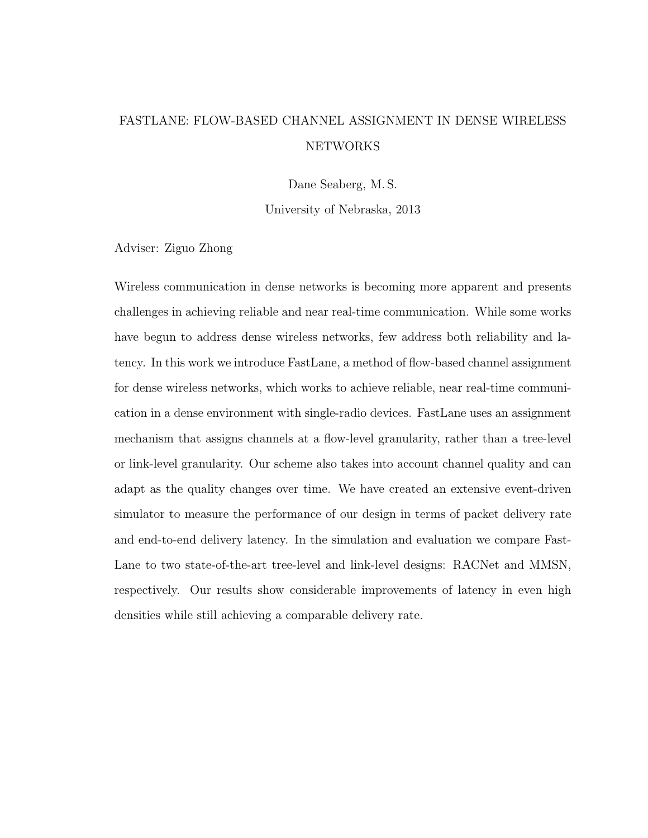# FASTLANE: FLOW-BASED CHANNEL ASSIGNMENT IN DENSE WIRELESS **NETWORKS**

Dane Seaberg, M. S.

University of Nebraska, 2013

Adviser: Ziguo Zhong

Wireless communication in dense networks is becoming more apparent and presents challenges in achieving reliable and near real-time communication. While some works have begun to address dense wireless networks, few address both reliability and latency. In this work we introduce FastLane, a method of flow-based channel assignment for dense wireless networks, which works to achieve reliable, near real-time communication in a dense environment with single-radio devices. FastLane uses an assignment mechanism that assigns channels at a flow-level granularity, rather than a tree-level or link-level granularity. Our scheme also takes into account channel quality and can adapt as the quality changes over time. We have created an extensive event-driven simulator to measure the performance of our design in terms of packet delivery rate and end-to-end delivery latency. In the simulation and evaluation we compare Fast-Lane to two state-of-the-art tree-level and link-level designs: RACNet and MMSN, respectively. Our results show considerable improvements of latency in even high densities while still achieving a comparable delivery rate.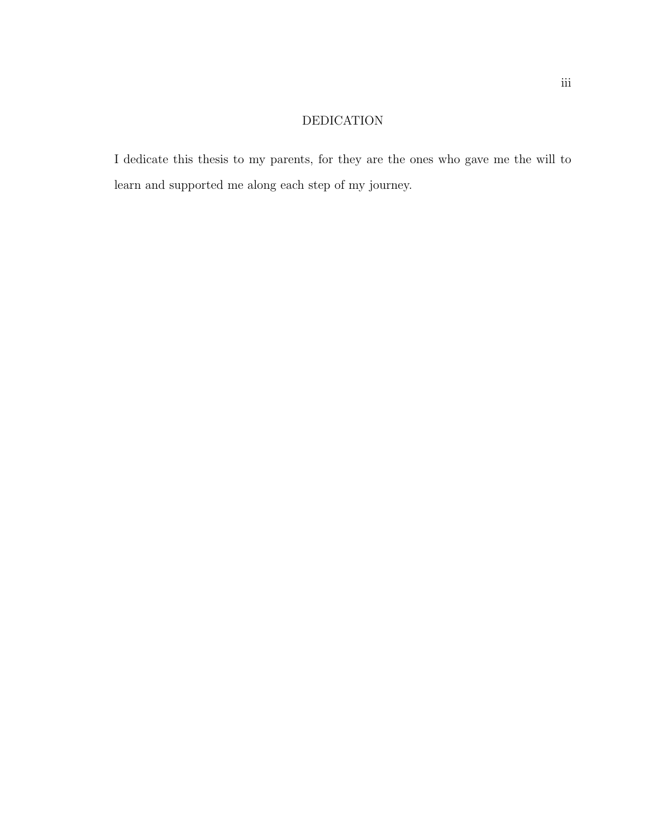### DEDICATION

I dedicate this thesis to my parents, for they are the ones who gave me the will to learn and supported me along each step of my journey.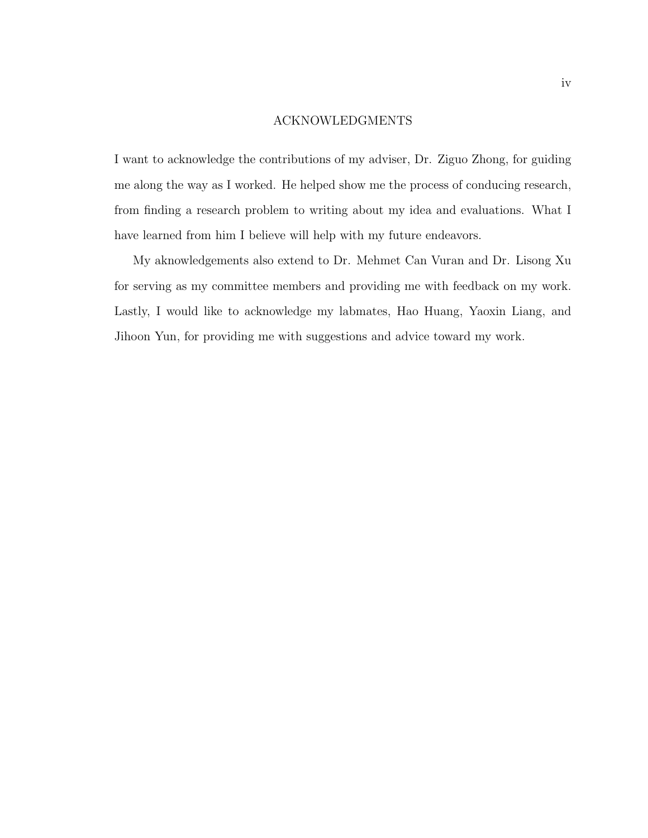#### ACKNOWLEDGMENTS

I want to acknowledge the contributions of my adviser, Dr. Ziguo Zhong, for guiding me along the way as I worked. He helped show me the process of conducing research, from finding a research problem to writing about my idea and evaluations. What I have learned from him I believe will help with my future endeavors.

My aknowledgements also extend to Dr. Mehmet Can Vuran and Dr. Lisong Xu for serving as my committee members and providing me with feedback on my work. Lastly, I would like to acknowledge my labmates, Hao Huang, Yaoxin Liang, and Jihoon Yun, for providing me with suggestions and advice toward my work.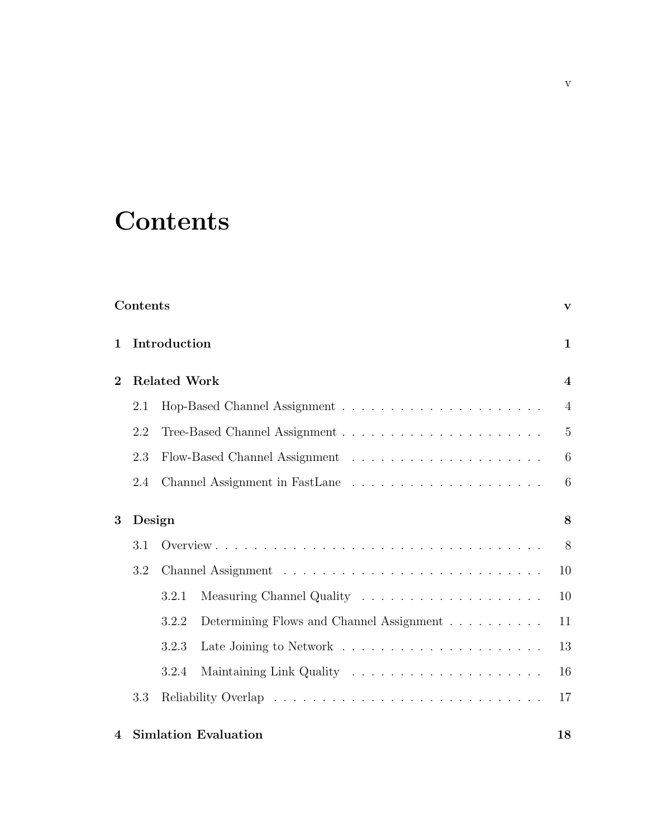# **Contents**

|                | Contents     |                     |                             |                         |  |
|----------------|--------------|---------------------|-----------------------------|-------------------------|--|
| $\mathbf{1}$   | Introduction |                     |                             |                         |  |
| $\bf{2}$       |              | <b>Related Work</b> |                             | $\overline{\mathbf{4}}$ |  |
|                | 2.1          |                     |                             | $\overline{4}$          |  |
|                | 2.2          |                     |                             | $\overline{5}$          |  |
|                | 2.3          |                     |                             | 6                       |  |
|                | 2.4          |                     |                             | 6                       |  |
| 3              | Design       |                     |                             |                         |  |
|                | 3.1          |                     |                             | 8                       |  |
|                | 3.2          |                     |                             | 10                      |  |
|                |              | 3.2.1               |                             | 10                      |  |
|                |              | 3.2.2               |                             | 11                      |  |
|                |              | 3.2.3               |                             | 13                      |  |
|                |              | 3.2.4               |                             | 16                      |  |
|                | 3.3          |                     |                             | 17                      |  |
| $\overline{4}$ |              |                     | <b>Simlation Evaluation</b> | 18                      |  |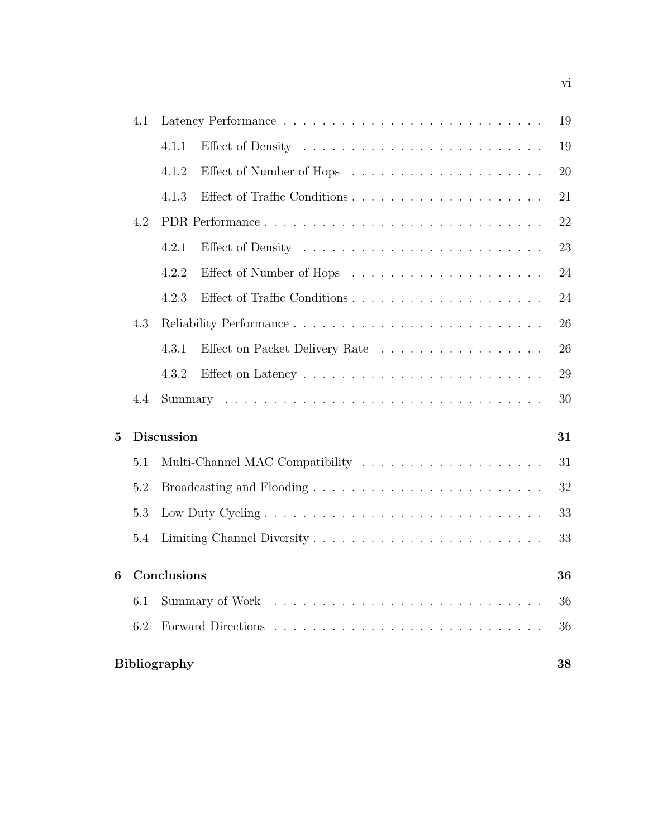|   | 4.1                       | 19                |                                |    |  |  |  |  |
|---|---------------------------|-------------------|--------------------------------|----|--|--|--|--|
|   |                           | 4.1.1             |                                | 19 |  |  |  |  |
|   |                           | 4.1.2             |                                | 20 |  |  |  |  |
|   |                           | 4.1.3             |                                | 21 |  |  |  |  |
|   | 4.2                       |                   | PDR Performance                | 22 |  |  |  |  |
|   |                           | 4.2.1             |                                | 23 |  |  |  |  |
|   |                           | 4.2.2             |                                | 24 |  |  |  |  |
|   |                           | 4.2.3             |                                | 24 |  |  |  |  |
|   | 4.3                       |                   |                                | 26 |  |  |  |  |
|   |                           | 4.3.1             | Effect on Packet Delivery Rate | 26 |  |  |  |  |
|   |                           | 4.3.2             |                                | 29 |  |  |  |  |
|   | 4.4                       |                   |                                | 30 |  |  |  |  |
| 5 |                           | <b>Discussion</b> |                                | 31 |  |  |  |  |
|   | 5.1                       |                   |                                | 31 |  |  |  |  |
|   | 5.2                       |                   |                                | 32 |  |  |  |  |
|   | 5.3                       |                   |                                | 33 |  |  |  |  |
|   | 5.4                       |                   |                                | 33 |  |  |  |  |
| 6 |                           | Conclusions       |                                | 36 |  |  |  |  |
|   | 6.1                       |                   |                                | 36 |  |  |  |  |
|   | 6.2                       |                   |                                | 36 |  |  |  |  |
|   | <b>Bibliography</b><br>38 |                   |                                |    |  |  |  |  |
|   |                           |                   |                                |    |  |  |  |  |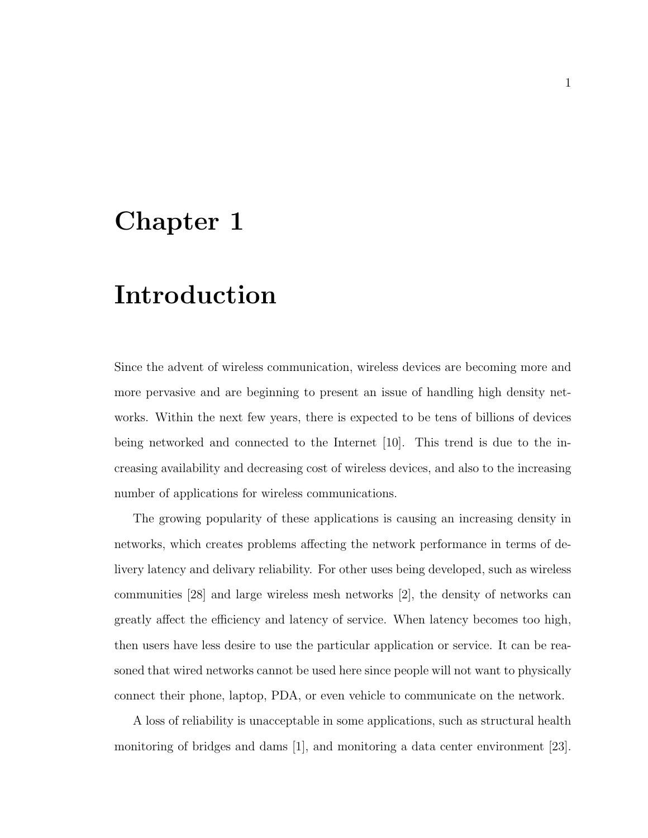# Chapter 1

# Introduction

Since the advent of wireless communication, wireless devices are becoming more and more pervasive and are beginning to present an issue of handling high density networks. Within the next few years, there is expected to be tens of billions of devices being networked and connected to the Internet [10]. This trend is due to the increasing availability and decreasing cost of wireless devices, and also to the increasing number of applications for wireless communications.

The growing popularity of these applications is causing an increasing density in networks, which creates problems affecting the network performance in terms of delivery latency and delivary reliability. For other uses being developed, such as wireless communities [28] and large wireless mesh networks [2], the density of networks can greatly affect the efficiency and latency of service. When latency becomes too high, then users have less desire to use the particular application or service. It can be reasoned that wired networks cannot be used here since people will not want to physically connect their phone, laptop, PDA, or even vehicle to communicate on the network.

A loss of reliability is unacceptable in some applications, such as structural health monitoring of bridges and dams [1], and monitoring a data center environment [23].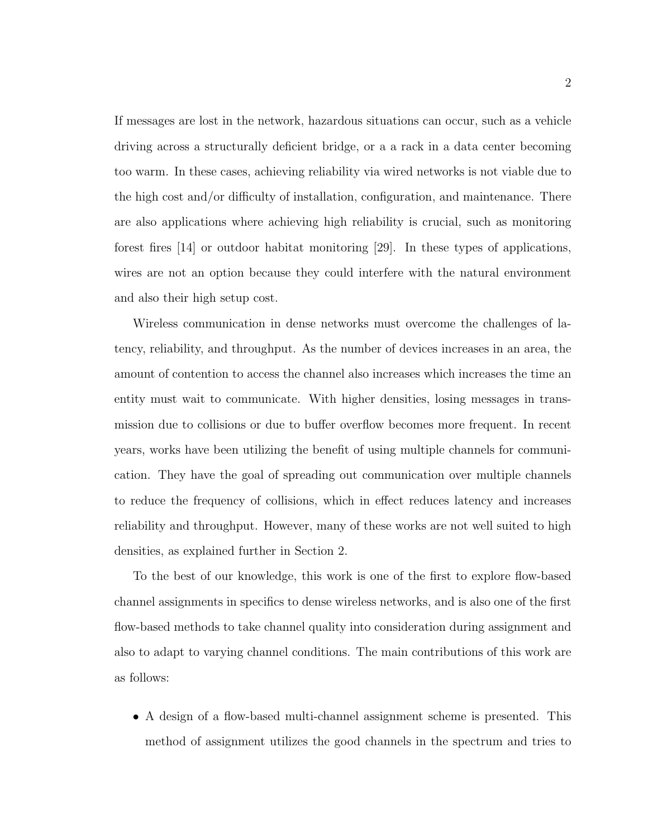If messages are lost in the network, hazardous situations can occur, such as a vehicle driving across a structurally deficient bridge, or a a rack in a data center becoming too warm. In these cases, achieving reliability via wired networks is not viable due to the high cost and/or difficulty of installation, configuration, and maintenance. There are also applications where achieving high reliability is crucial, such as monitoring forest fires [14] or outdoor habitat monitoring [29]. In these types of applications, wires are not an option because they could interfere with the natural environment and also their high setup cost.

Wireless communication in dense networks must overcome the challenges of latency, reliability, and throughput. As the number of devices increases in an area, the amount of contention to access the channel also increases which increases the time an entity must wait to communicate. With higher densities, losing messages in transmission due to collisions or due to buffer overflow becomes more frequent. In recent years, works have been utilizing the benefit of using multiple channels for communication. They have the goal of spreading out communication over multiple channels to reduce the frequency of collisions, which in effect reduces latency and increases reliability and throughput. However, many of these works are not well suited to high densities, as explained further in Section 2.

To the best of our knowledge, this work is one of the first to explore flow-based channel assignments in specifics to dense wireless networks, and is also one of the first flow-based methods to take channel quality into consideration during assignment and also to adapt to varying channel conditions. The main contributions of this work are as follows:

• A design of a flow-based multi-channel assignment scheme is presented. This method of assignment utilizes the good channels in the spectrum and tries to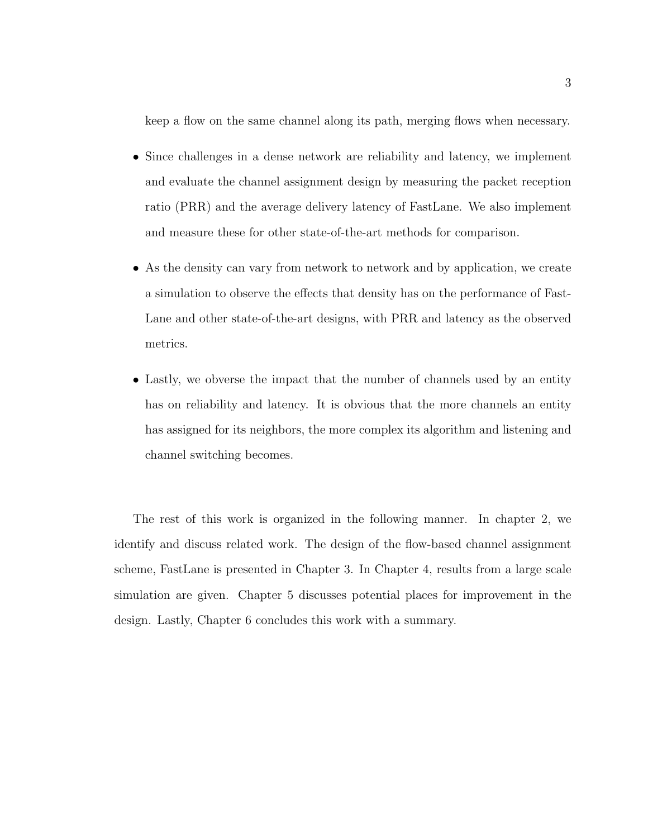keep a flow on the same channel along its path, merging flows when necessary.

- Since challenges in a dense network are reliability and latency, we implement and evaluate the channel assignment design by measuring the packet reception ratio (PRR) and the average delivery latency of FastLane. We also implement and measure these for other state-of-the-art methods for comparison.
- As the density can vary from network to network and by application, we create a simulation to observe the effects that density has on the performance of Fast-Lane and other state-of-the-art designs, with PRR and latency as the observed metrics.
- Lastly, we obverse the impact that the number of channels used by an entity has on reliability and latency. It is obvious that the more channels an entity has assigned for its neighbors, the more complex its algorithm and listening and channel switching becomes.

The rest of this work is organized in the following manner. In chapter 2, we identify and discuss related work. The design of the flow-based channel assignment scheme, FastLane is presented in Chapter 3. In Chapter 4, results from a large scale simulation are given. Chapter 5 discusses potential places for improvement in the design. Lastly, Chapter 6 concludes this work with a summary.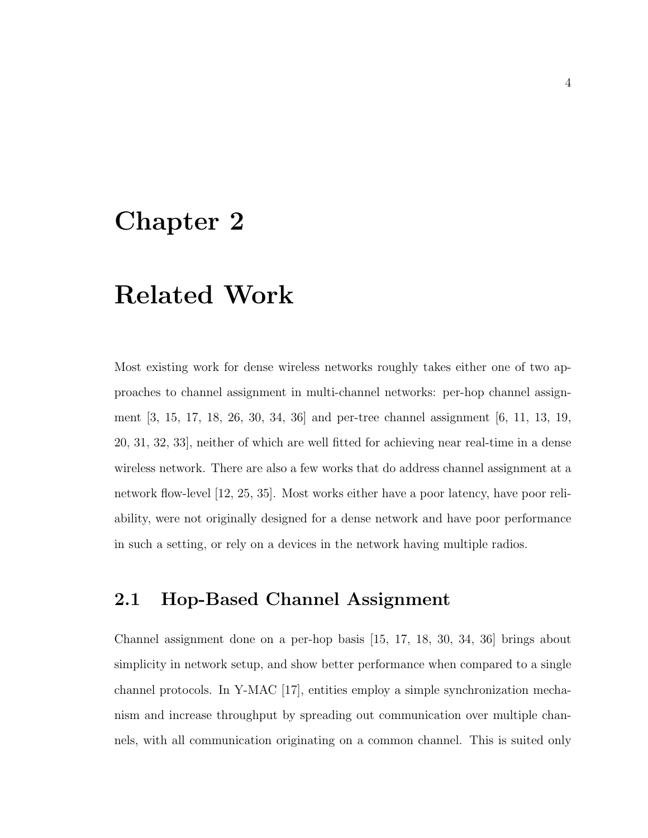# Chapter 2

# Related Work

Most existing work for dense wireless networks roughly takes either one of two approaches to channel assignment in multi-channel networks: per-hop channel assignment [3, 15, 17, 18, 26, 30, 34, 36] and per-tree channel assignment [6, 11, 13, 19, 20, 31, 32, 33], neither of which are well fitted for achieving near real-time in a dense wireless network. There are also a few works that do address channel assignment at a network flow-level [12, 25, 35]. Most works either have a poor latency, have poor reliability, were not originally designed for a dense network and have poor performance in such a setting, or rely on a devices in the network having multiple radios.

### 2.1 Hop-Based Channel Assignment

Channel assignment done on a per-hop basis [15, 17, 18, 30, 34, 36] brings about simplicity in network setup, and show better performance when compared to a single channel protocols. In Y-MAC [17], entities employ a simple synchronization mechanism and increase throughput by spreading out communication over multiple channels, with all communication originating on a common channel. This is suited only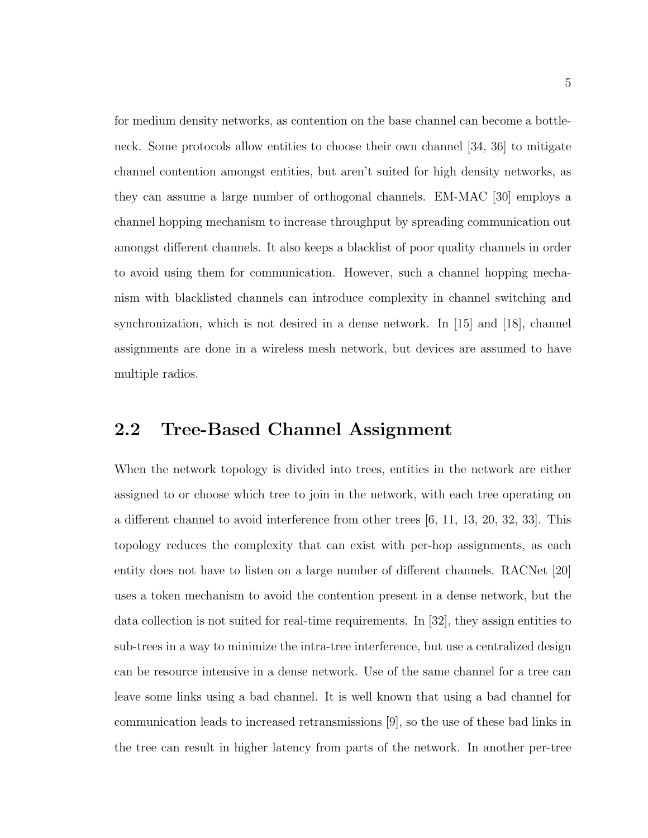for medium density networks, as contention on the base channel can become a bottleneck. Some protocols allow entities to choose their own channel [34, 36] to mitigate channel contention amongst entities, but aren't suited for high density networks, as they can assume a large number of orthogonal channels. EM-MAC [30] employs a channel hopping mechanism to increase throughput by spreading communication out amongst different channels. It also keeps a blacklist of poor quality channels in order to avoid using them for communication. However, such a channel hopping mechanism with blacklisted channels can introduce complexity in channel switching and synchronization, which is not desired in a dense network. In [15] and [18], channel assignments are done in a wireless mesh network, but devices are assumed to have multiple radios.

### 2.2 Tree-Based Channel Assignment

When the network topology is divided into trees, entities in the network are either assigned to or choose which tree to join in the network, with each tree operating on a different channel to avoid interference from other trees [6, 11, 13, 20, 32, 33]. This topology reduces the complexity that can exist with per-hop assignments, as each entity does not have to listen on a large number of different channels. RACNet [20] uses a token mechanism to avoid the contention present in a dense network, but the data collection is not suited for real-time requirements. In [32], they assign entities to sub-trees in a way to minimize the intra-tree interference, but use a centralized design can be resource intensive in a dense network. Use of the same channel for a tree can leave some links using a bad channel. It is well known that using a bad channel for communication leads to increased retransmissions [9], so the use of these bad links in the tree can result in higher latency from parts of the network. In another per-tree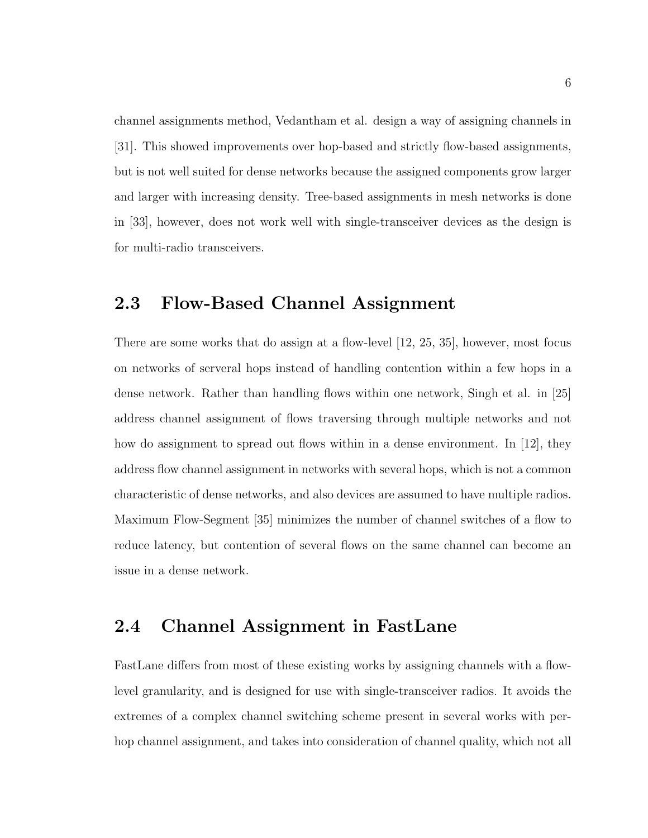channel assignments method, Vedantham et al. design a way of assigning channels in [31]. This showed improvements over hop-based and strictly flow-based assignments, but is not well suited for dense networks because the assigned components grow larger and larger with increasing density. Tree-based assignments in mesh networks is done in [33], however, does not work well with single-transceiver devices as the design is for multi-radio transceivers.

### 2.3 Flow-Based Channel Assignment

There are some works that do assign at a flow-level [12, 25, 35], however, most focus on networks of serveral hops instead of handling contention within a few hops in a dense network. Rather than handling flows within one network, Singh et al. in [25] address channel assignment of flows traversing through multiple networks and not how do assignment to spread out flows within in a dense environment. In [12], they address flow channel assignment in networks with several hops, which is not a common characteristic of dense networks, and also devices are assumed to have multiple radios. Maximum Flow-Segment [35] minimizes the number of channel switches of a flow to reduce latency, but contention of several flows on the same channel can become an issue in a dense network.

## 2.4 Channel Assignment in FastLane

FastLane differs from most of these existing works by assigning channels with a flowlevel granularity, and is designed for use with single-transceiver radios. It avoids the extremes of a complex channel switching scheme present in several works with perhop channel assignment, and takes into consideration of channel quality, which not all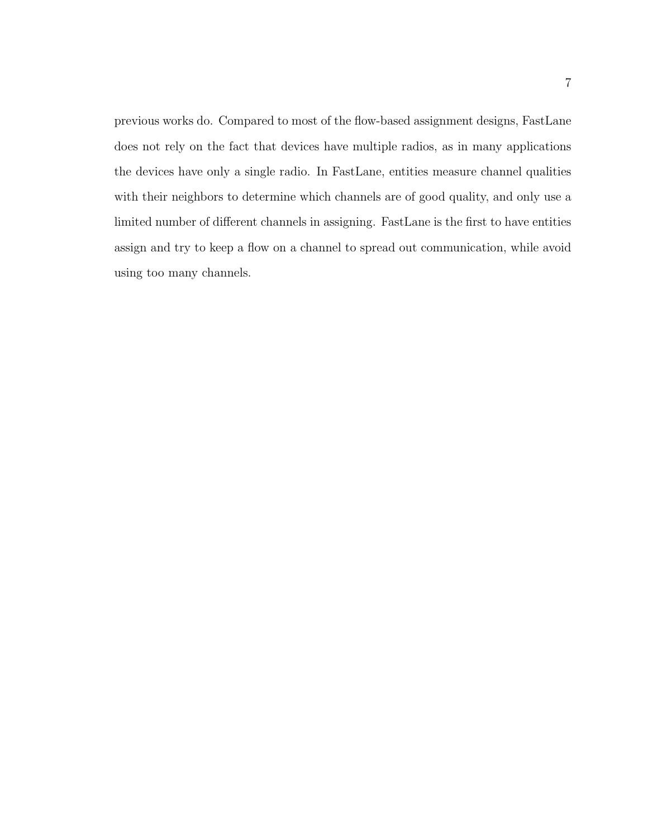previous works do. Compared to most of the flow-based assignment designs, FastLane does not rely on the fact that devices have multiple radios, as in many applications the devices have only a single radio. In FastLane, entities measure channel qualities with their neighbors to determine which channels are of good quality, and only use a limited number of different channels in assigning. FastLane is the first to have entities assign and try to keep a flow on a channel to spread out communication, while avoid using too many channels.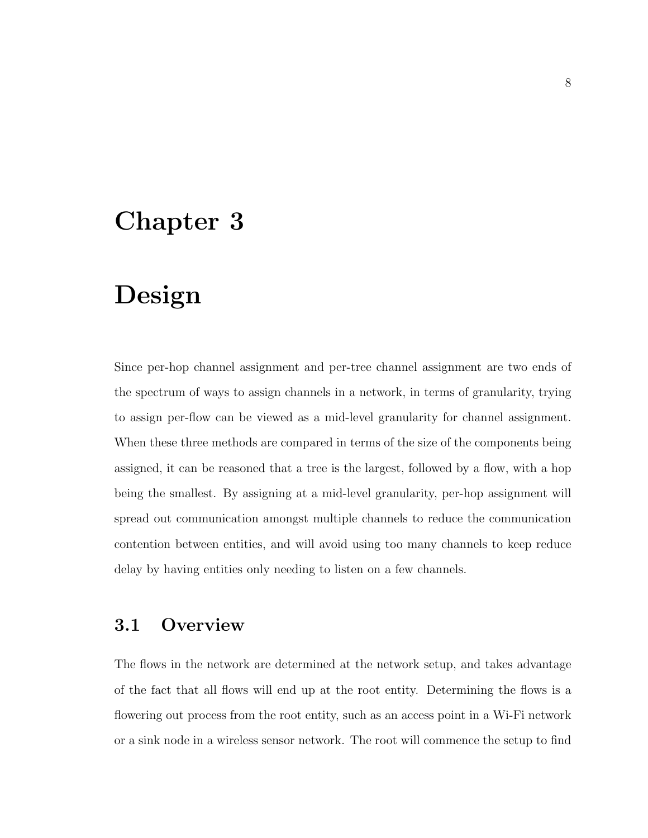# Chapter 3

# Design

Since per-hop channel assignment and per-tree channel assignment are two ends of the spectrum of ways to assign channels in a network, in terms of granularity, trying to assign per-flow can be viewed as a mid-level granularity for channel assignment. When these three methods are compared in terms of the size of the components being assigned, it can be reasoned that a tree is the largest, followed by a flow, with a hop being the smallest. By assigning at a mid-level granularity, per-hop assignment will spread out communication amongst multiple channels to reduce the communication contention between entities, and will avoid using too many channels to keep reduce delay by having entities only needing to listen on a few channels.

### 3.1 Overview

The flows in the network are determined at the network setup, and takes advantage of the fact that all flows will end up at the root entity. Determining the flows is a flowering out process from the root entity, such as an access point in a Wi-Fi network or a sink node in a wireless sensor network. The root will commence the setup to find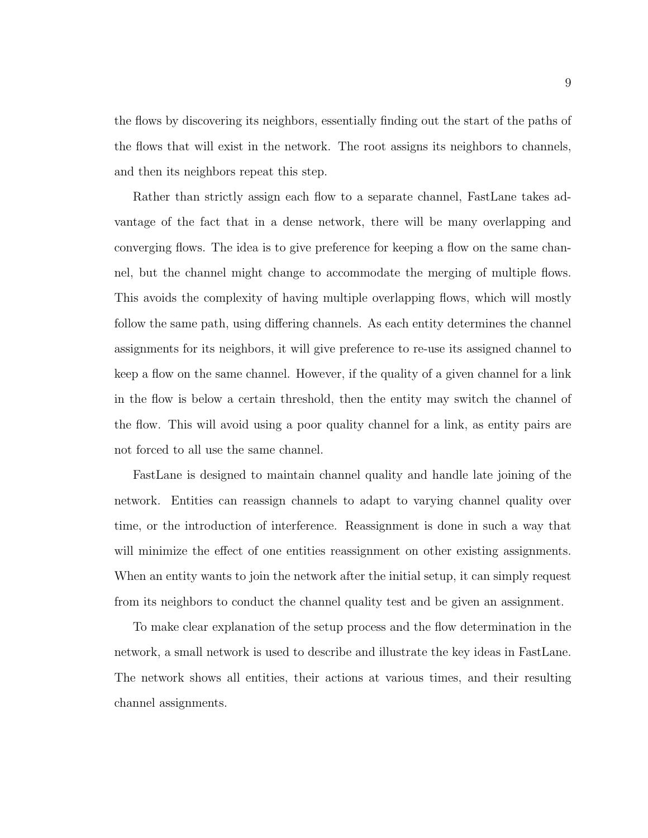the flows by discovering its neighbors, essentially finding out the start of the paths of the flows that will exist in the network. The root assigns its neighbors to channels, and then its neighbors repeat this step.

Rather than strictly assign each flow to a separate channel, FastLane takes advantage of the fact that in a dense network, there will be many overlapping and converging flows. The idea is to give preference for keeping a flow on the same channel, but the channel might change to accommodate the merging of multiple flows. This avoids the complexity of having multiple overlapping flows, which will mostly follow the same path, using differing channels. As each entity determines the channel assignments for its neighbors, it will give preference to re-use its assigned channel to keep a flow on the same channel. However, if the quality of a given channel for a link in the flow is below a certain threshold, then the entity may switch the channel of the flow. This will avoid using a poor quality channel for a link, as entity pairs are not forced to all use the same channel.

FastLane is designed to maintain channel quality and handle late joining of the network. Entities can reassign channels to adapt to varying channel quality over time, or the introduction of interference. Reassignment is done in such a way that will minimize the effect of one entities reassignment on other existing assignments. When an entity wants to join the network after the initial setup, it can simply request from its neighbors to conduct the channel quality test and be given an assignment.

To make clear explanation of the setup process and the flow determination in the network, a small network is used to describe and illustrate the key ideas in FastLane. The network shows all entities, their actions at various times, and their resulting channel assignments.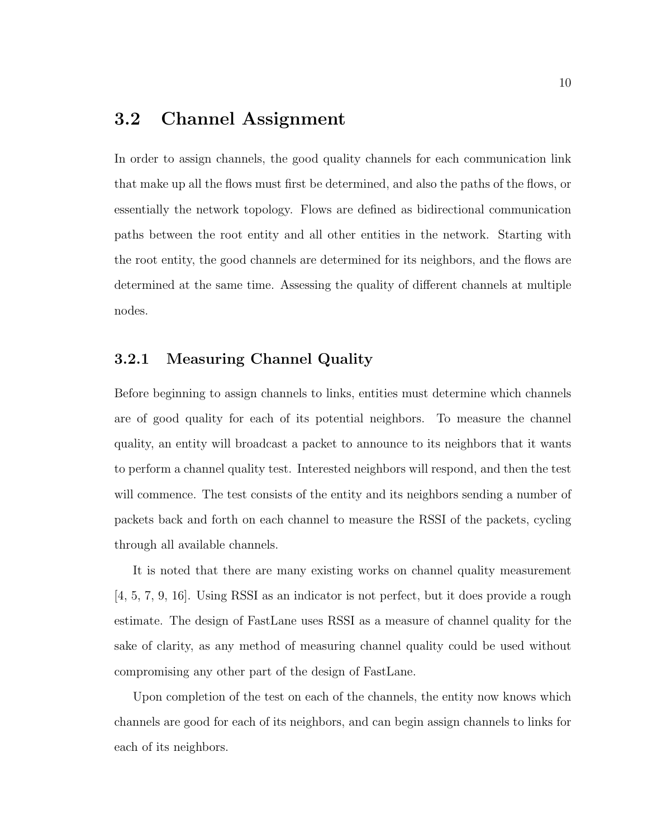# 3.2 Channel Assignment

In order to assign channels, the good quality channels for each communication link that make up all the flows must first be determined, and also the paths of the flows, or essentially the network topology. Flows are defined as bidirectional communication paths between the root entity and all other entities in the network. Starting with the root entity, the good channels are determined for its neighbors, and the flows are determined at the same time. Assessing the quality of different channels at multiple nodes.

#### 3.2.1 Measuring Channel Quality

Before beginning to assign channels to links, entities must determine which channels are of good quality for each of its potential neighbors. To measure the channel quality, an entity will broadcast a packet to announce to its neighbors that it wants to perform a channel quality test. Interested neighbors will respond, and then the test will commence. The test consists of the entity and its neighbors sending a number of packets back and forth on each channel to measure the RSSI of the packets, cycling through all available channels.

It is noted that there are many existing works on channel quality measurement [4, 5, 7, 9, 16]. Using RSSI as an indicator is not perfect, but it does provide a rough estimate. The design of FastLane uses RSSI as a measure of channel quality for the sake of clarity, as any method of measuring channel quality could be used without compromising any other part of the design of FastLane.

Upon completion of the test on each of the channels, the entity now knows which channels are good for each of its neighbors, and can begin assign channels to links for each of its neighbors.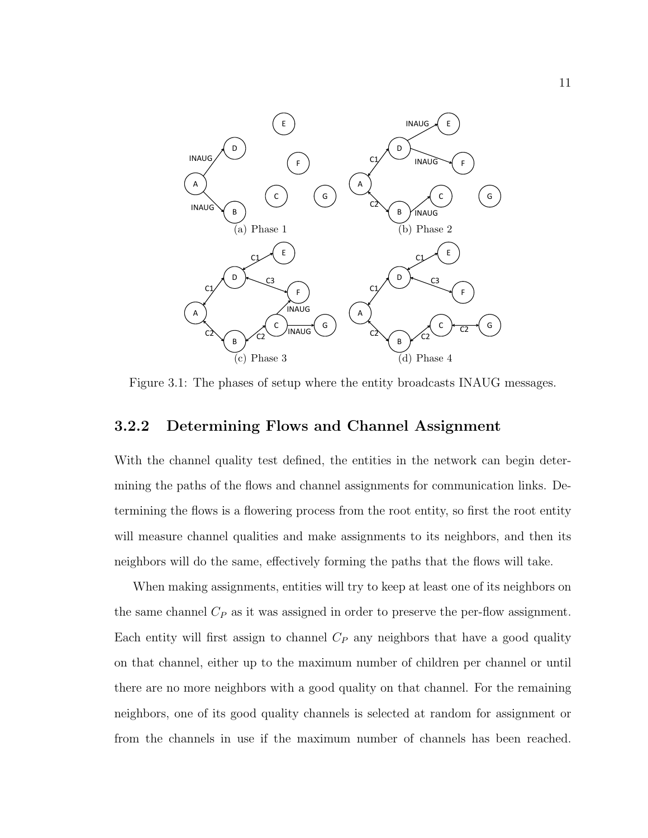

Figure 3.1: The phases of setup where the entity broadcasts INAUG messages.

#### 3.2.2 Determining Flows and Channel Assignment

With the channel quality test defined, the entities in the network can begin determining the paths of the flows and channel assignments for communication links. Determining the flows is a flowering process from the root entity, so first the root entity will measure channel qualities and make assignments to its neighbors, and then its neighbors will do the same, effectively forming the paths that the flows will take.

When making assignments, entities will try to keep at least one of its neighbors on the same channel  $C_P$  as it was assigned in order to preserve the per-flow assignment. Each entity will first assign to channel  $C_P$  any neighbors that have a good quality on that channel, either up to the maximum number of children per channel or until there are no more neighbors with a good quality on that channel. For the remaining neighbors, one of its good quality channels is selected at random for assignment or from the channels in use if the maximum number of channels has been reached.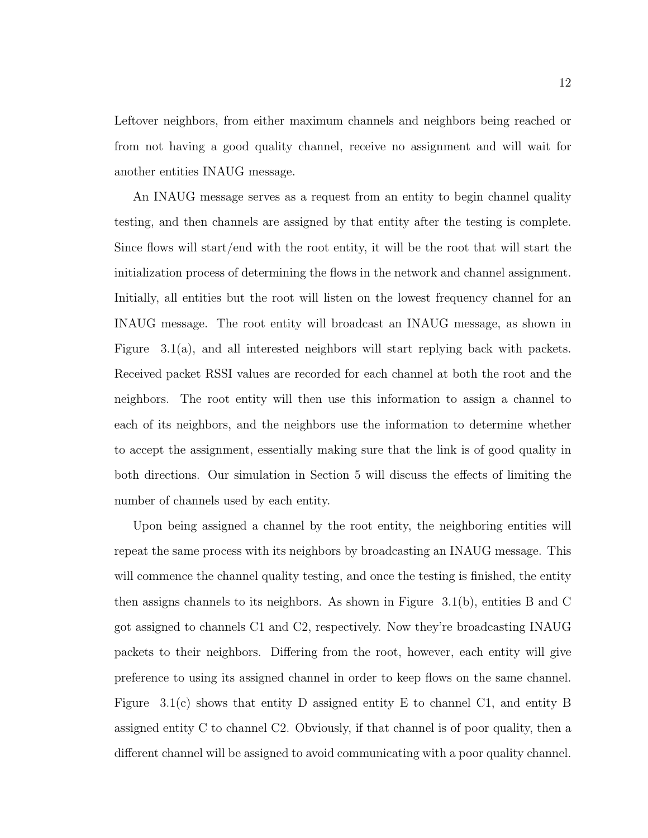Leftover neighbors, from either maximum channels and neighbors being reached or from not having a good quality channel, receive no assignment and will wait for another entities INAUG message.

An INAUG message serves as a request from an entity to begin channel quality testing, and then channels are assigned by that entity after the testing is complete. Since flows will start/end with the root entity, it will be the root that will start the initialization process of determining the flows in the network and channel assignment. Initially, all entities but the root will listen on the lowest frequency channel for an INAUG message. The root entity will broadcast an INAUG message, as shown in Figure 3.1(a), and all interested neighbors will start replying back with packets. Received packet RSSI values are recorded for each channel at both the root and the neighbors. The root entity will then use this information to assign a channel to each of its neighbors, and the neighbors use the information to determine whether to accept the assignment, essentially making sure that the link is of good quality in both directions. Our simulation in Section 5 will discuss the effects of limiting the number of channels used by each entity.

Upon being assigned a channel by the root entity, the neighboring entities will repeat the same process with its neighbors by broadcasting an INAUG message. This will commence the channel quality testing, and once the testing is finished, the entity then assigns channels to its neighbors. As shown in Figure 3.1(b), entities B and C got assigned to channels C1 and C2, respectively. Now they're broadcasting INAUG packets to their neighbors. Differing from the root, however, each entity will give preference to using its assigned channel in order to keep flows on the same channel. Figure 3.1(c) shows that entity D assigned entity E to channel C1, and entity B assigned entity C to channel C2. Obviously, if that channel is of poor quality, then a different channel will be assigned to avoid communicating with a poor quality channel.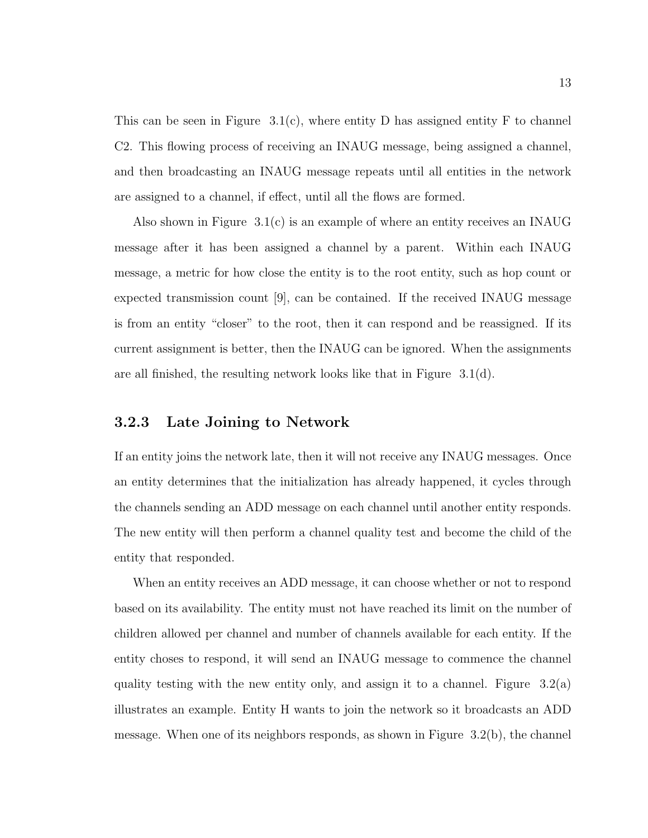This can be seen in Figure  $3.1(c)$ , where entity D has assigned entity F to channel C2. This flowing process of receiving an INAUG message, being assigned a channel, and then broadcasting an INAUG message repeats until all entities in the network are assigned to a channel, if effect, until all the flows are formed.

Also shown in Figure 3.1(c) is an example of where an entity receives an INAUG message after it has been assigned a channel by a parent. Within each INAUG message, a metric for how close the entity is to the root entity, such as hop count or expected transmission count [9], can be contained. If the received INAUG message is from an entity "closer" to the root, then it can respond and be reassigned. If its current assignment is better, then the INAUG can be ignored. When the assignments are all finished, the resulting network looks like that in Figure 3.1(d).

#### 3.2.3 Late Joining to Network

If an entity joins the network late, then it will not receive any INAUG messages. Once an entity determines that the initialization has already happened, it cycles through the channels sending an ADD message on each channel until another entity responds. The new entity will then perform a channel quality test and become the child of the entity that responded.

When an entity receives an ADD message, it can choose whether or not to respond based on its availability. The entity must not have reached its limit on the number of children allowed per channel and number of channels available for each entity. If the entity choses to respond, it will send an INAUG message to commence the channel quality testing with the new entity only, and assign it to a channel. Figure  $3.2(a)$ illustrates an example. Entity H wants to join the network so it broadcasts an ADD message. When one of its neighbors responds, as shown in Figure  $3.2(b)$ , the channel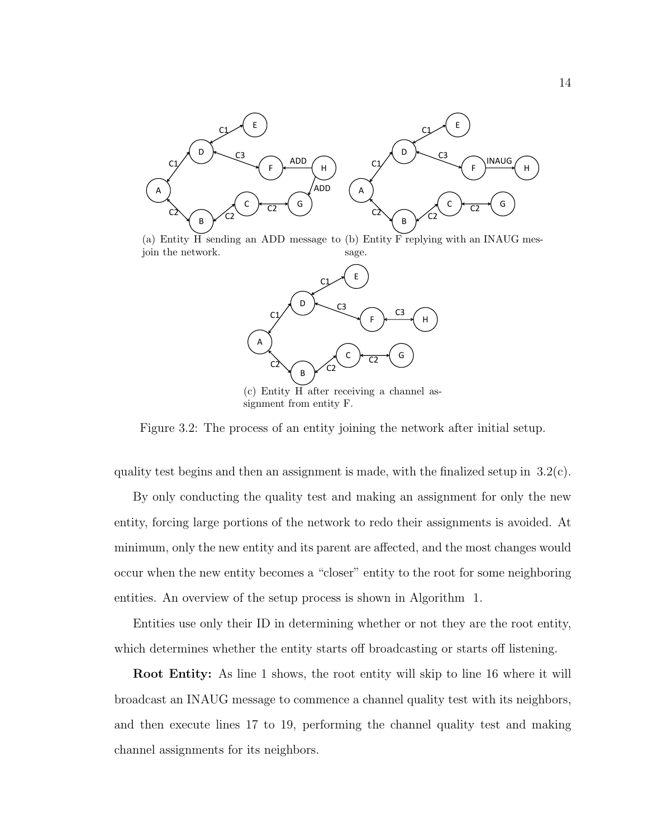

(a) Entity H sending an ADD message to (b) Entity F replying with an INAUG mesjoin the network. sage.



(c) Entity H after receiving a channel assignment from entity F.

Figure 3.2: The process of an entity joining the network after initial setup.

quality test begins and then an assignment is made, with the finalized setup in  $3.2(c)$ .

By only conducting the quality test and making an assignment for only the new entity, forcing large portions of the network to redo their assignments is avoided. At minimum, only the new entity and its parent are affected, and the most changes would occur when the new entity becomes a "closer" entity to the root for some neighboring entities. An overview of the setup process is shown in Algorithm 1.

Entities use only their ID in determining whether or not they are the root entity, which determines whether the entity starts off broadcasting or starts off listening.

Root Entity: As line 1 shows, the root entity will skip to line 16 where it will broadcast an INAUG message to commence a channel quality test with its neighbors, and then execute lines 17 to 19, performing the channel quality test and making channel assignments for its neighbors.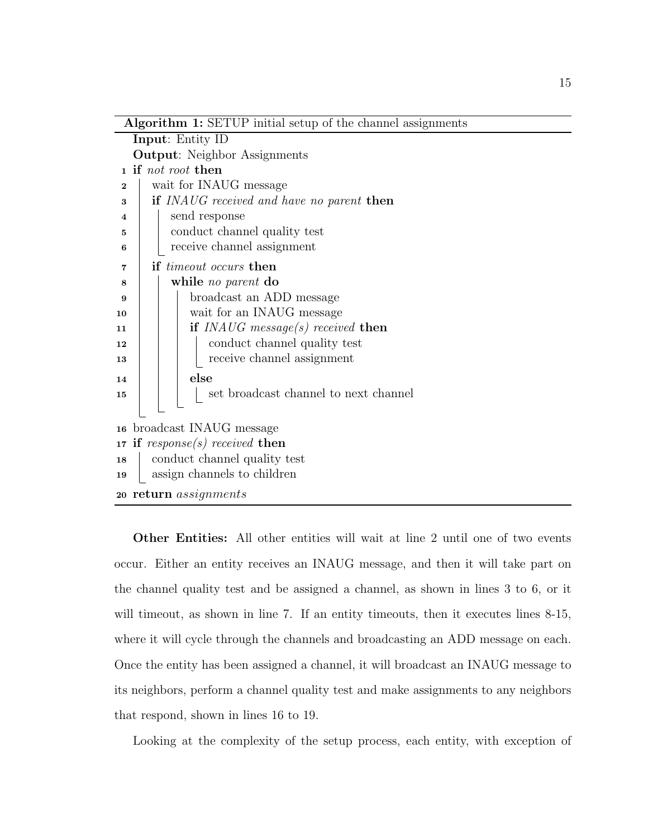| <b>Algorithm 1:</b> SETUP initial setup of the channel assignments |  |  |  |  |  |
|--------------------------------------------------------------------|--|--|--|--|--|
| Input: Entity ID                                                   |  |  |  |  |  |
| <b>Output:</b> Neighbor Assignments                                |  |  |  |  |  |
| if not root then<br>1                                              |  |  |  |  |  |
| wait for INAUG message<br>$\overline{2}$                           |  |  |  |  |  |
| if INAUG received and have no parent then                          |  |  |  |  |  |
| send response<br>4                                                 |  |  |  |  |  |
| conduct channel quality test<br>5                                  |  |  |  |  |  |
| receive channel assignment<br>6                                    |  |  |  |  |  |
| if <i>timeout</i> occurs then<br>7                                 |  |  |  |  |  |
| while no parent do<br>8                                            |  |  |  |  |  |
| broadcast an ADD message<br>9                                      |  |  |  |  |  |
| wait for an INAUG message<br>10                                    |  |  |  |  |  |
| if $INAUG$ message(s) received then<br>11                          |  |  |  |  |  |
| conduct channel quality test<br>12                                 |  |  |  |  |  |
| receive channel assignment<br>13                                   |  |  |  |  |  |
| else<br>14                                                         |  |  |  |  |  |
| set broadcast channel to next channel<br>15                        |  |  |  |  |  |
|                                                                    |  |  |  |  |  |
| 16 broadcast INAUG message                                         |  |  |  |  |  |
| if $response(s) received$ then<br>17 <sub>1</sub>                  |  |  |  |  |  |
| conduct channel quality test<br>18                                 |  |  |  |  |  |
| assign channels to children                                        |  |  |  |  |  |
| 20 return <i>assignments</i>                                       |  |  |  |  |  |
|                                                                    |  |  |  |  |  |

Other Entities: All other entities will wait at line 2 until one of two events occur. Either an entity receives an INAUG message, and then it will take part on the channel quality test and be assigned a channel, as shown in lines 3 to 6, or it will timeout, as shown in line 7. If an entity timeouts, then it executes lines 8-15, where it will cycle through the channels and broadcasting an ADD message on each. Once the entity has been assigned a channel, it will broadcast an INAUG message to its neighbors, perform a channel quality test and make assignments to any neighbors that respond, shown in lines 16 to 19.

Looking at the complexity of the setup process, each entity, with exception of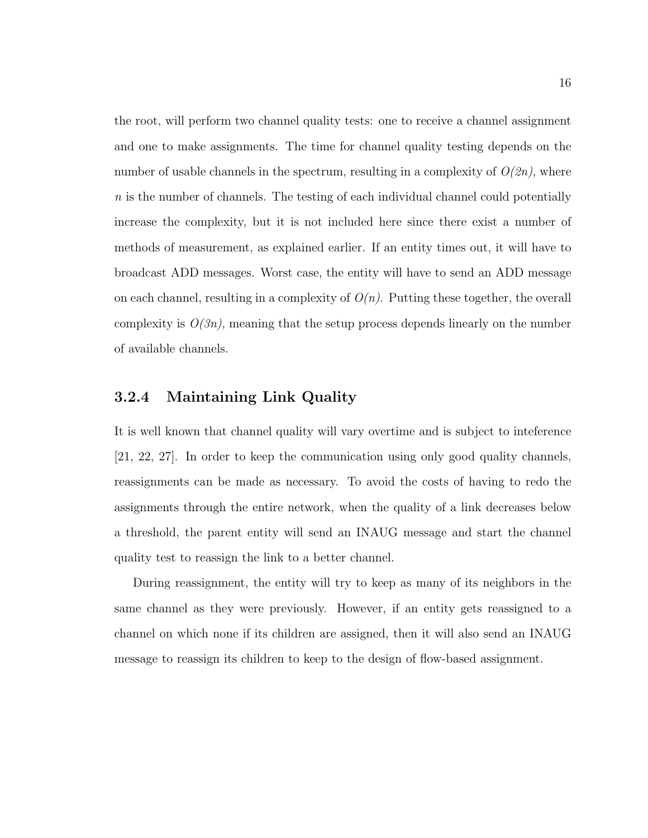the root, will perform two channel quality tests: one to receive a channel assignment and one to make assignments. The time for channel quality testing depends on the number of usable channels in the spectrum, resulting in a complexity of  $O(2n)$ , where n is the number of channels. The testing of each individual channel could potentially increase the complexity, but it is not included here since there exist a number of methods of measurement, as explained earlier. If an entity times out, it will have to broadcast ADD messages. Worst case, the entity will have to send an ADD message on each channel, resulting in a complexity of  $O(n)$ . Putting these together, the overall complexity is  $O(3n)$ , meaning that the setup process depends linearly on the number of available channels.

#### 3.2.4 Maintaining Link Quality

It is well known that channel quality will vary overtime and is subject to inteference [21, 22, 27]. In order to keep the communication using only good quality channels, reassignments can be made as necessary. To avoid the costs of having to redo the assignments through the entire network, when the quality of a link decreases below a threshold, the parent entity will send an INAUG message and start the channel quality test to reassign the link to a better channel.

During reassignment, the entity will try to keep as many of its neighbors in the same channel as they were previously. However, if an entity gets reassigned to a channel on which none if its children are assigned, then it will also send an INAUG message to reassign its children to keep to the design of flow-based assignment.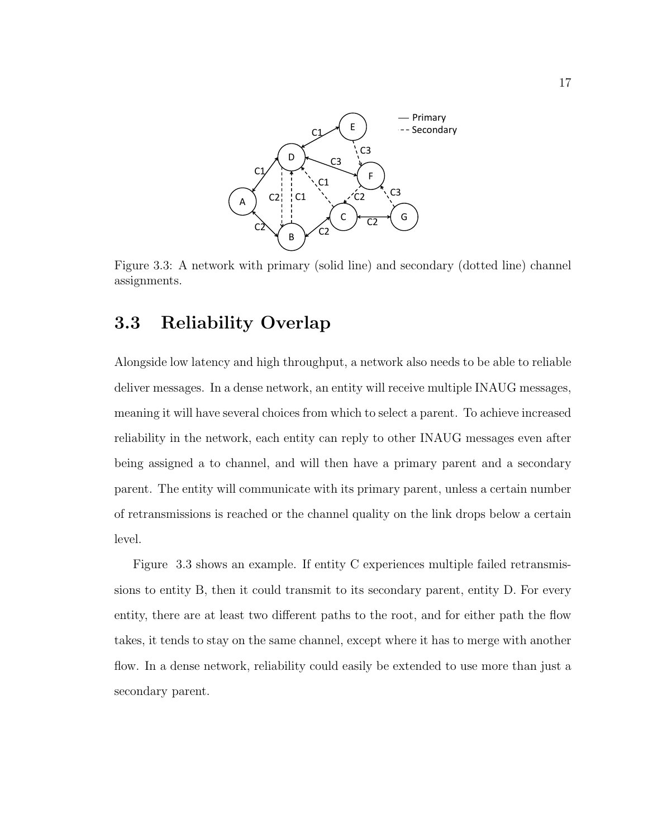

Figure 3.3: A network with primary (solid line) and secondary (dotted line) channel assignments.

## 3.3 Reliability Overlap

Alongside low latency and high throughput, a network also needs to be able to reliable deliver messages. In a dense network, an entity will receive multiple INAUG messages, meaning it will have several choices from which to select a parent. To achieve increased reliability in the network, each entity can reply to other INAUG messages even after being assigned a to channel, and will then have a primary parent and a secondary parent. The entity will communicate with its primary parent, unless a certain number of retransmissions is reached or the channel quality on the link drops below a certain level.

Figure 3.3 shows an example. If entity C experiences multiple failed retransmissions to entity B, then it could transmit to its secondary parent, entity D. For every entity, there are at least two different paths to the root, and for either path the flow takes, it tends to stay on the same channel, except where it has to merge with another flow. In a dense network, reliability could easily be extended to use more than just a secondary parent.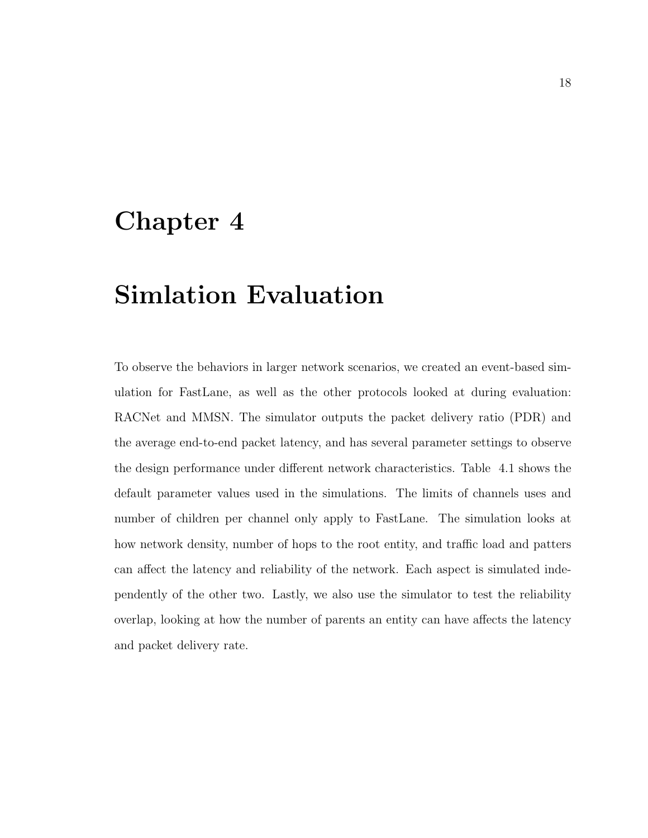# Chapter 4

# Simlation Evaluation

To observe the behaviors in larger network scenarios, we created an event-based simulation for FastLane, as well as the other protocols looked at during evaluation: RACNet and MMSN. The simulator outputs the packet delivery ratio (PDR) and the average end-to-end packet latency, and has several parameter settings to observe the design performance under different network characteristics. Table 4.1 shows the default parameter values used in the simulations. The limits of channels uses and number of children per channel only apply to FastLane. The simulation looks at how network density, number of hops to the root entity, and traffic load and patters can affect the latency and reliability of the network. Each aspect is simulated independently of the other two. Lastly, we also use the simulator to test the reliability overlap, looking at how the number of parents an entity can have affects the latency and packet delivery rate.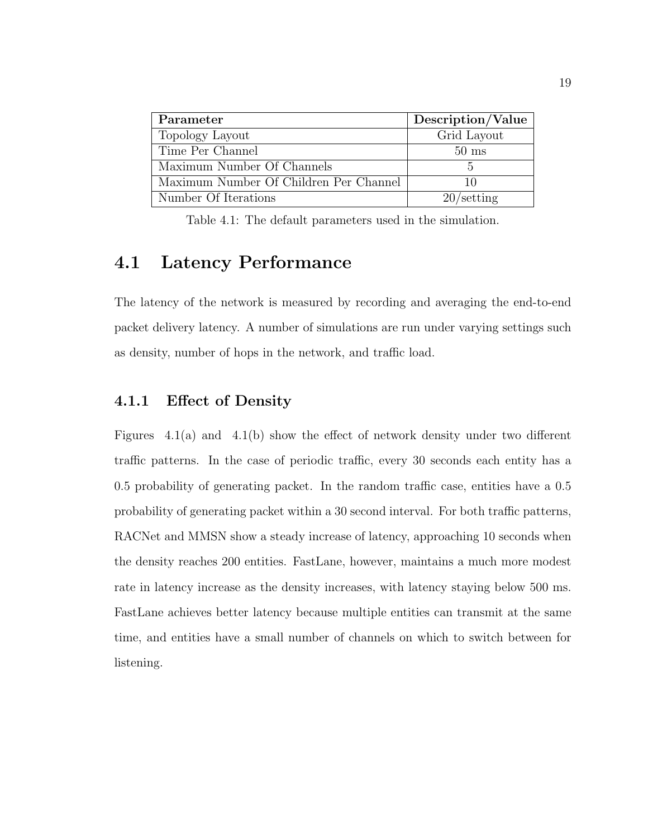| Parameter                              | Description/Value   |
|----------------------------------------|---------------------|
| Topology Layout                        | Grid Layout         |
| Time Per Channel                       | $50 \text{ ms}$     |
| Maximum Number Of Channels             |                     |
| Maximum Number Of Children Per Channel | 10                  |
| Number Of Iterations                   | $20/\text{setting}$ |

Table 4.1: The default parameters used in the simulation.

### 4.1 Latency Performance

The latency of the network is measured by recording and averaging the end-to-end packet delivery latency. A number of simulations are run under varying settings such as density, number of hops in the network, and traffic load.

### 4.1.1 Effect of Density

Figures 4.1(a) and 4.1(b) show the effect of network density under two different traffic patterns. In the case of periodic traffic, every 30 seconds each entity has a 0.5 probability of generating packet. In the random traffic case, entities have a 0.5 probability of generating packet within a 30 second interval. For both traffic patterns, RACNet and MMSN show a steady increase of latency, approaching 10 seconds when the density reaches 200 entities. FastLane, however, maintains a much more modest rate in latency increase as the density increases, with latency staying below 500 ms. FastLane achieves better latency because multiple entities can transmit at the same time, and entities have a small number of channels on which to switch between for listening.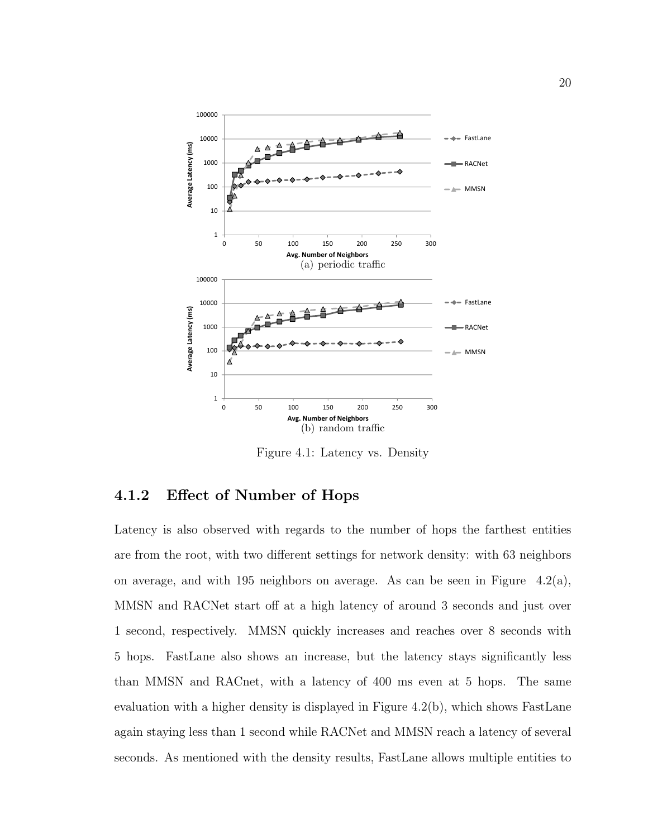

Figure 4.1: Latency vs. Density

### 4.1.2 Effect of Number of Hops

Latency is also observed with regards to the number of hops the farthest entities are from the root, with two different settings for network density: with 63 neighbors on average, and with 195 neighbors on average. As can be seen in Figure  $4.2(a)$ , MMSN and RACNet start off at a high latency of around 3 seconds and just over 1 second, respectively. MMSN quickly increases and reaches over 8 seconds with 5 hops. FastLane also shows an increase, but the latency stays significantly less than MMSN and RACnet, with a latency of 400 ms even at 5 hops. The same evaluation with a higher density is displayed in Figure 4.2(b), which shows FastLane again staying less than 1 second while RACNet and MMSN reach a latency of several seconds. As mentioned with the density results, FastLane allows multiple entities to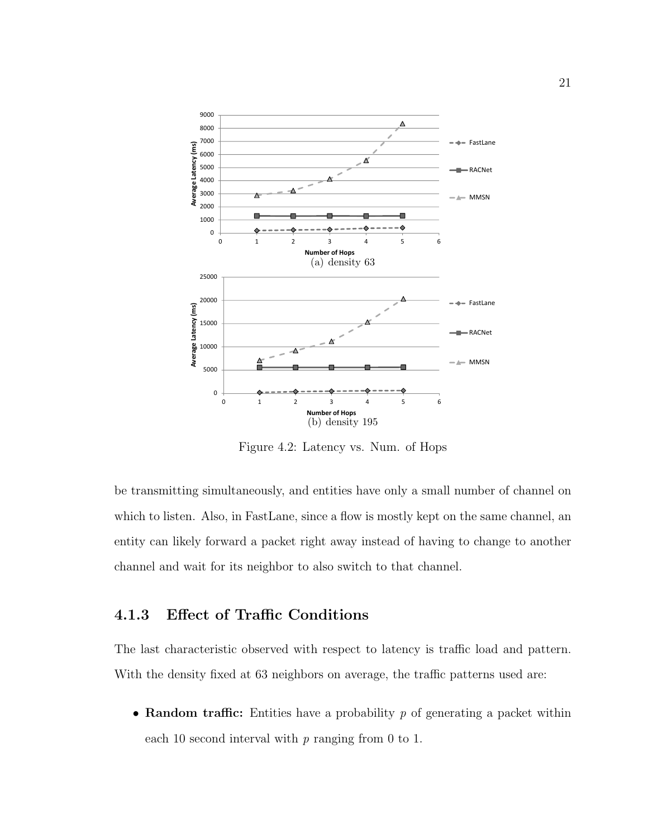

Figure 4.2: Latency vs. Num. of Hops

be transmitting simultaneously, and entities have only a small number of channel on which to listen. Also, in FastLane, since a flow is mostly kept on the same channel, an entity can likely forward a packet right away instead of having to change to another channel and wait for its neighbor to also switch to that channel.

### 4.1.3 Effect of Traffic Conditions

The last characteristic observed with respect to latency is traffic load and pattern. With the density fixed at 63 neighbors on average, the traffic patterns used are:

• Random traffic: Entities have a probability p of generating a packet within each 10 second interval with  $p$  ranging from 0 to 1.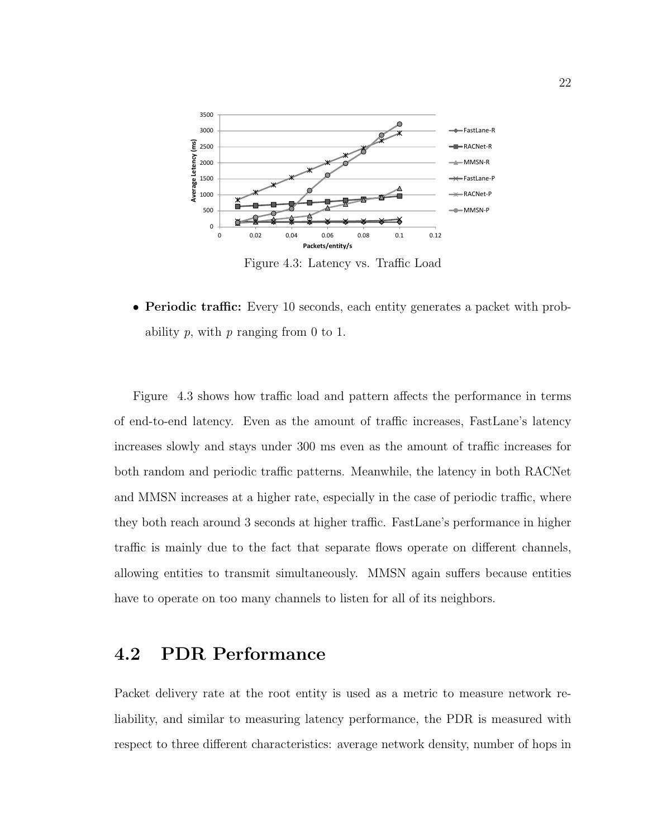

Figure 4.3: Latency vs. Traffic Load

• Periodic traffic: Every 10 seconds, each entity generates a packet with probability  $p$ , with  $p$  ranging from 0 to 1.

Figure 4.3 shows how traffic load and pattern affects the performance in terms of end-to-end latency. Even as the amount of traffic increases, FastLane's latency increases slowly and stays under 300 ms even as the amount of traffic increases for both random and periodic traffic patterns. Meanwhile, the latency in both RACNet and MMSN increases at a higher rate, especially in the case of periodic traffic, where they both reach around 3 seconds at higher traffic. FastLane's performance in higher traffic is mainly due to the fact that separate flows operate on different channels, allowing entities to transmit simultaneously. MMSN again suffers because entities have to operate on too many channels to listen for all of its neighbors.

### 4.2 PDR Performance

Packet delivery rate at the root entity is used as a metric to measure network reliability, and similar to measuring latency performance, the PDR is measured with respect to three different characteristics: average network density, number of hops in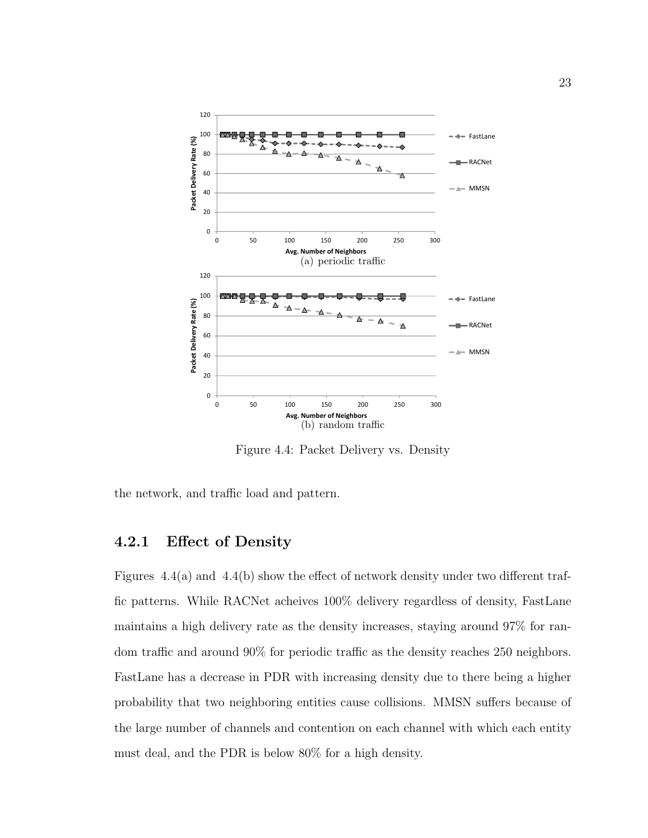

Figure 4.4: Packet Delivery vs. Density

the network, and traffic load and pattern.

### 4.2.1 Effect of Density

Figures 4.4(a) and 4.4(b) show the effect of network density under two different traffic patterns. While RACNet acheives 100% delivery regardless of density, FastLane maintains a high delivery rate as the density increases, staying around 97% for random traffic and around 90% for periodic traffic as the density reaches 250 neighbors. FastLane has a decrease in PDR with increasing density due to there being a higher probability that two neighboring entities cause collisions. MMSN suffers because of the large number of channels and contention on each channel with which each entity must deal, and the PDR is below 80% for a high density.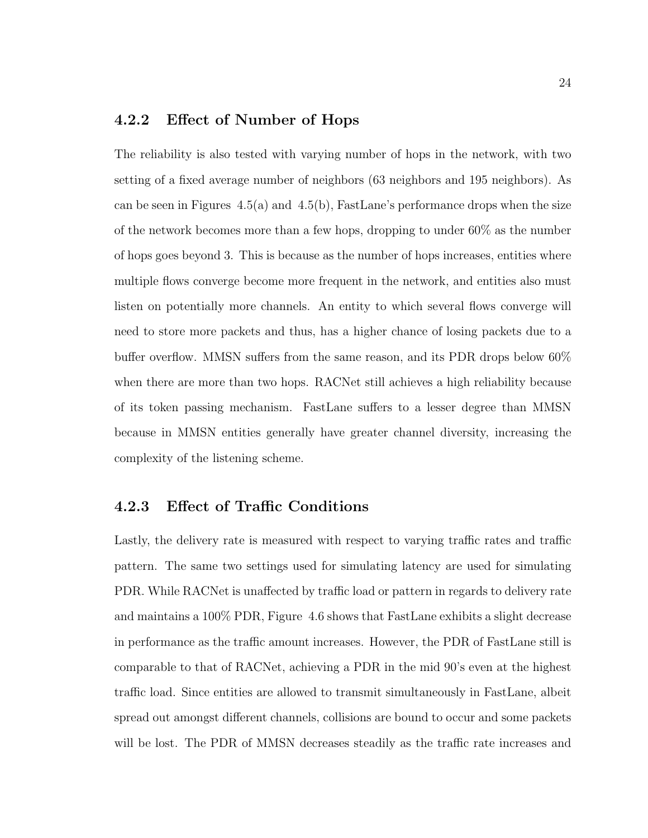#### 4.2.2 Effect of Number of Hops

The reliability is also tested with varying number of hops in the network, with two setting of a fixed average number of neighbors (63 neighbors and 195 neighbors). As can be seen in Figures  $4.5(a)$  and  $4.5(b)$ , FastLane's performance drops when the size of the network becomes more than a few hops, dropping to under 60% as the number of hops goes beyond 3. This is because as the number of hops increases, entities where multiple flows converge become more frequent in the network, and entities also must listen on potentially more channels. An entity to which several flows converge will need to store more packets and thus, has a higher chance of losing packets due to a buffer overflow. MMSN suffers from the same reason, and its PDR drops below 60% when there are more than two hops. RACNet still achieves a high reliability because of its token passing mechanism. FastLane suffers to a lesser degree than MMSN because in MMSN entities generally have greater channel diversity, increasing the complexity of the listening scheme.

#### 4.2.3 Effect of Traffic Conditions

Lastly, the delivery rate is measured with respect to varying traffic rates and traffic pattern. The same two settings used for simulating latency are used for simulating PDR. While RACNet is unaffected by traffic load or pattern in regards to delivery rate and maintains a 100% PDR, Figure 4.6 shows that FastLane exhibits a slight decrease in performance as the traffic amount increases. However, the PDR of FastLane still is comparable to that of RACNet, achieving a PDR in the mid 90's even at the highest traffic load. Since entities are allowed to transmit simultaneously in FastLane, albeit spread out amongst different channels, collisions are bound to occur and some packets will be lost. The PDR of MMSN decreases steadily as the traffic rate increases and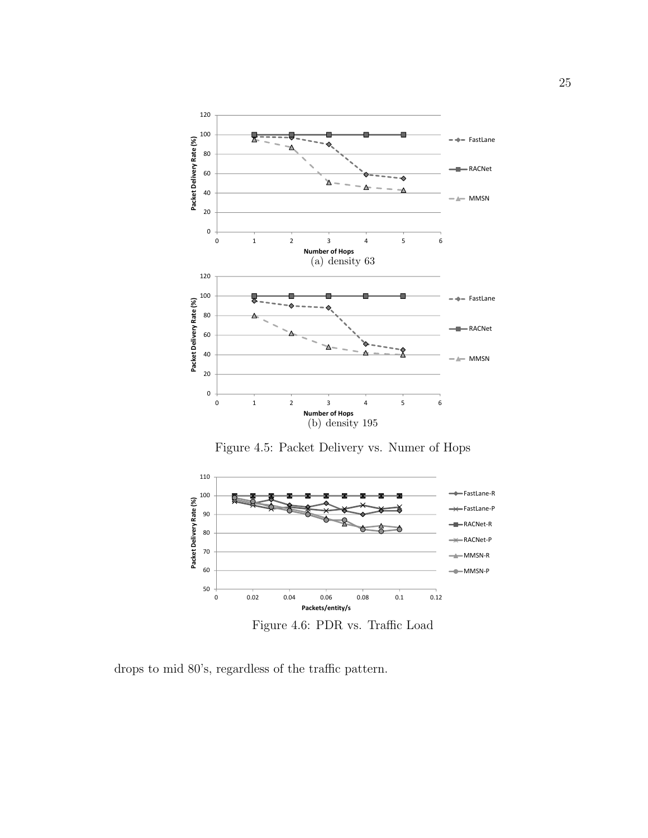

Figure 4.5: Packet Delivery vs. Numer of Hops

![](_page_31_Figure_2.jpeg)

drops to mid 80's, regardless of the traffic pattern.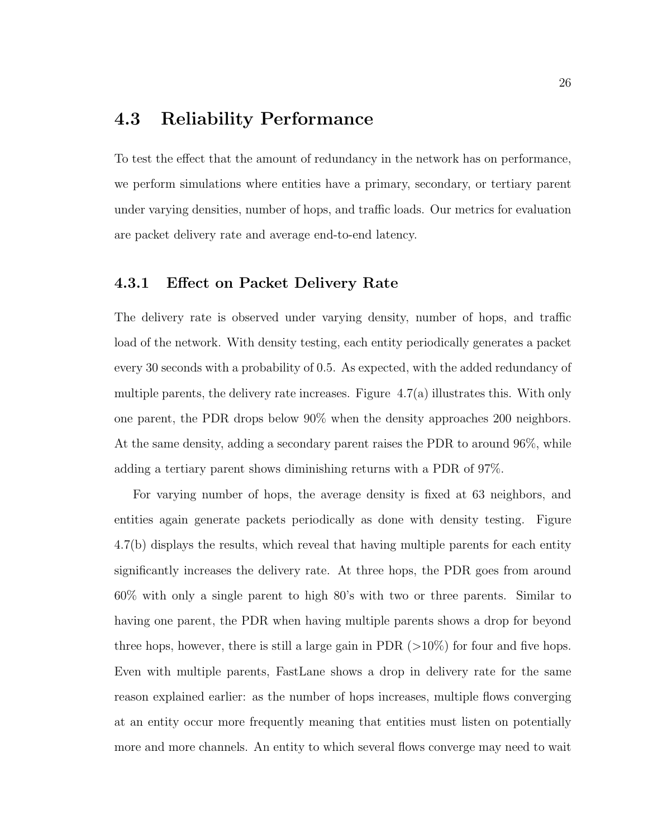## 4.3 Reliability Performance

To test the effect that the amount of redundancy in the network has on performance, we perform simulations where entities have a primary, secondary, or tertiary parent under varying densities, number of hops, and traffic loads. Our metrics for evaluation are packet delivery rate and average end-to-end latency.

#### 4.3.1 Effect on Packet Delivery Rate

The delivery rate is observed under varying density, number of hops, and traffic load of the network. With density testing, each entity periodically generates a packet every 30 seconds with a probability of 0.5. As expected, with the added redundancy of multiple parents, the delivery rate increases. Figure 4.7(a) illustrates this. With only one parent, the PDR drops below 90% when the density approaches 200 neighbors. At the same density, adding a secondary parent raises the PDR to around 96%, while adding a tertiary parent shows diminishing returns with a PDR of 97%.

For varying number of hops, the average density is fixed at 63 neighbors, and entities again generate packets periodically as done with density testing. Figure 4.7(b) displays the results, which reveal that having multiple parents for each entity significantly increases the delivery rate. At three hops, the PDR goes from around 60% with only a single parent to high 80's with two or three parents. Similar to having one parent, the PDR when having multiple parents shows a drop for beyond three hops, however, there is still a large gain in PDR  $(>10\%)$  for four and five hops. Even with multiple parents, FastLane shows a drop in delivery rate for the same reason explained earlier: as the number of hops increases, multiple flows converging at an entity occur more frequently meaning that entities must listen on potentially more and more channels. An entity to which several flows converge may need to wait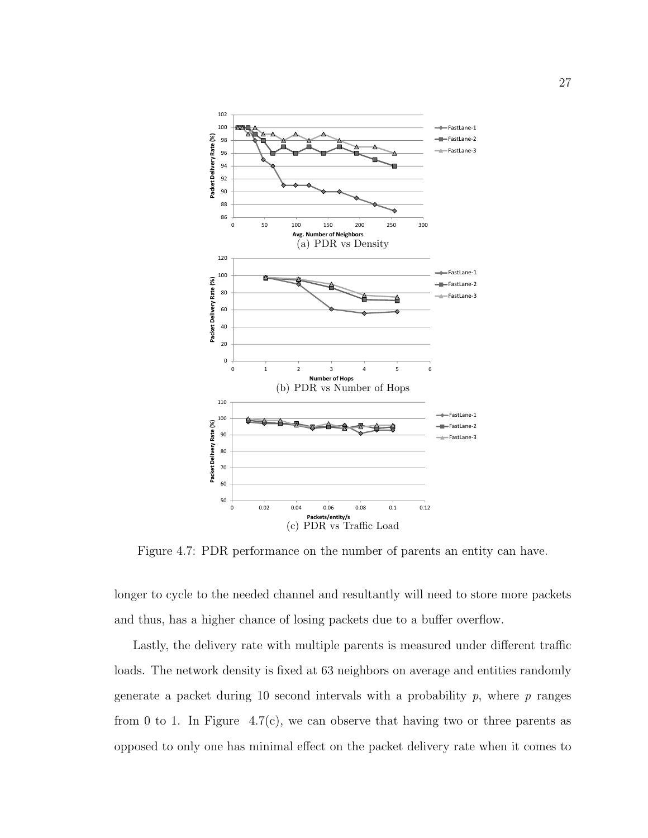![](_page_33_Figure_0.jpeg)

Figure 4.7: PDR performance on the number of parents an entity can have.

longer to cycle to the needed channel and resultantly will need to store more packets and thus, has a higher chance of losing packets due to a buffer overflow.

Lastly, the delivery rate with multiple parents is measured under different traffic loads. The network density is fixed at 63 neighbors on average and entities randomly generate a packet during 10 second intervals with a probability  $p$ , where  $p$  ranges from 0 to 1. In Figure 4.7(c), we can observe that having two or three parents as opposed to only one has minimal effect on the packet delivery rate when it comes to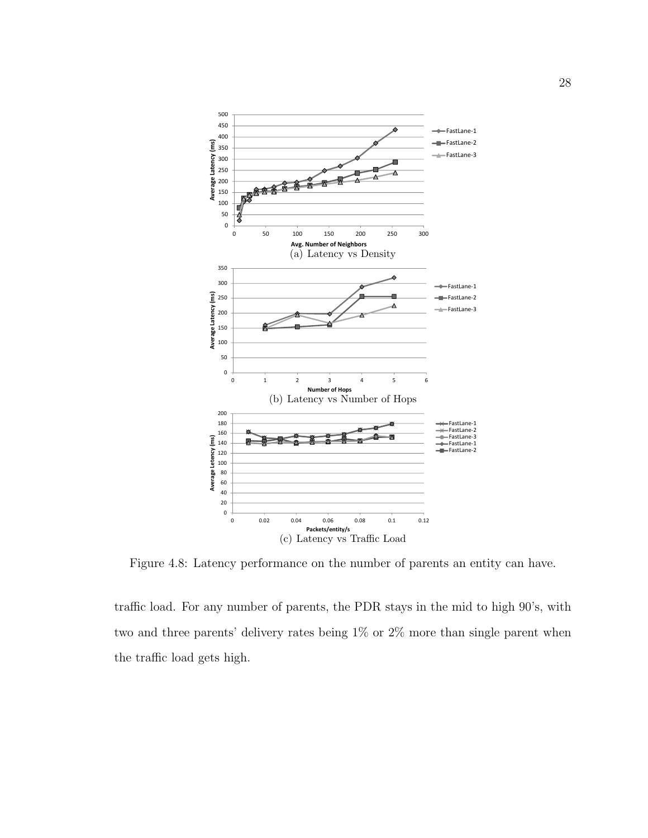![](_page_34_Figure_0.jpeg)

Figure 4.8: Latency performance on the number of parents an entity can have.

traffic load. For any number of parents, the PDR stays in the mid to high 90's, with two and three parents' delivery rates being 1% or 2% more than single parent when the traffic load gets high.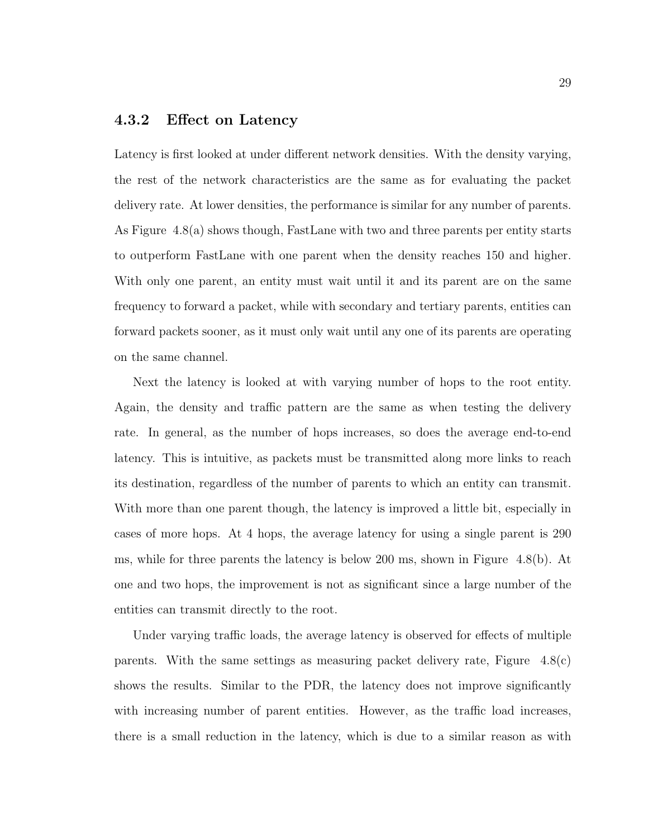#### 4.3.2 Effect on Latency

Latency is first looked at under different network densities. With the density varying, the rest of the network characteristics are the same as for evaluating the packet delivery rate. At lower densities, the performance is similar for any number of parents. As Figure 4.8(a) shows though, FastLane with two and three parents per entity starts to outperform FastLane with one parent when the density reaches 150 and higher. With only one parent, an entity must wait until it and its parent are on the same frequency to forward a packet, while with secondary and tertiary parents, entities can forward packets sooner, as it must only wait until any one of its parents are operating on the same channel.

Next the latency is looked at with varying number of hops to the root entity. Again, the density and traffic pattern are the same as when testing the delivery rate. In general, as the number of hops increases, so does the average end-to-end latency. This is intuitive, as packets must be transmitted along more links to reach its destination, regardless of the number of parents to which an entity can transmit. With more than one parent though, the latency is improved a little bit, especially in cases of more hops. At 4 hops, the average latency for using a single parent is 290 ms, while for three parents the latency is below 200 ms, shown in Figure 4.8(b). At one and two hops, the improvement is not as significant since a large number of the entities can transmit directly to the root.

Under varying traffic loads, the average latency is observed for effects of multiple parents. With the same settings as measuring packet delivery rate, Figure 4.8(c) shows the results. Similar to the PDR, the latency does not improve significantly with increasing number of parent entities. However, as the traffic load increases, there is a small reduction in the latency, which is due to a similar reason as with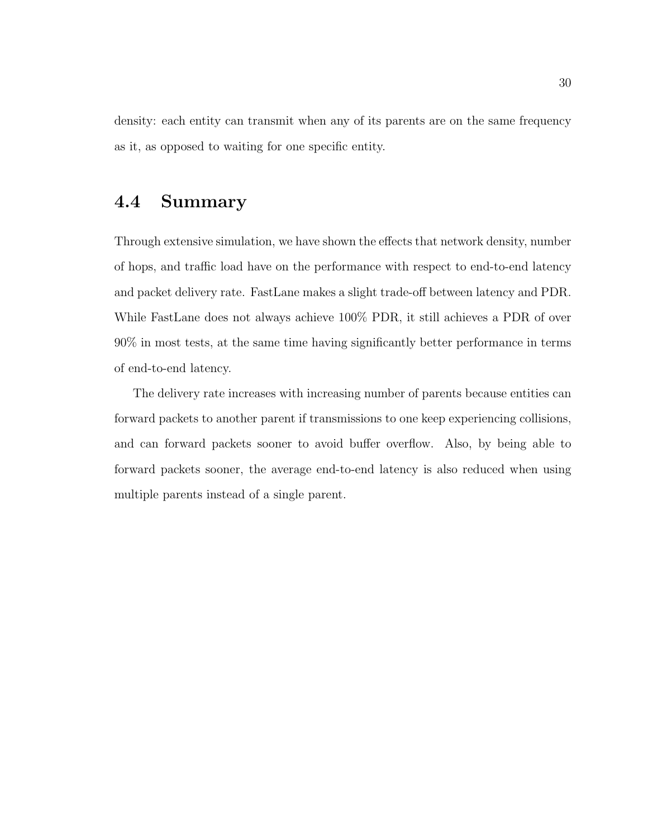density: each entity can transmit when any of its parents are on the same frequency as it, as opposed to waiting for one specific entity.

### 4.4 Summary

Through extensive simulation, we have shown the effects that network density, number of hops, and traffic load have on the performance with respect to end-to-end latency and packet delivery rate. FastLane makes a slight trade-off between latency and PDR. While FastLane does not always achieve 100% PDR, it still achieves a PDR of over 90% in most tests, at the same time having significantly better performance in terms of end-to-end latency.

The delivery rate increases with increasing number of parents because entities can forward packets to another parent if transmissions to one keep experiencing collisions, and can forward packets sooner to avoid buffer overflow. Also, by being able to forward packets sooner, the average end-to-end latency is also reduced when using multiple parents instead of a single parent.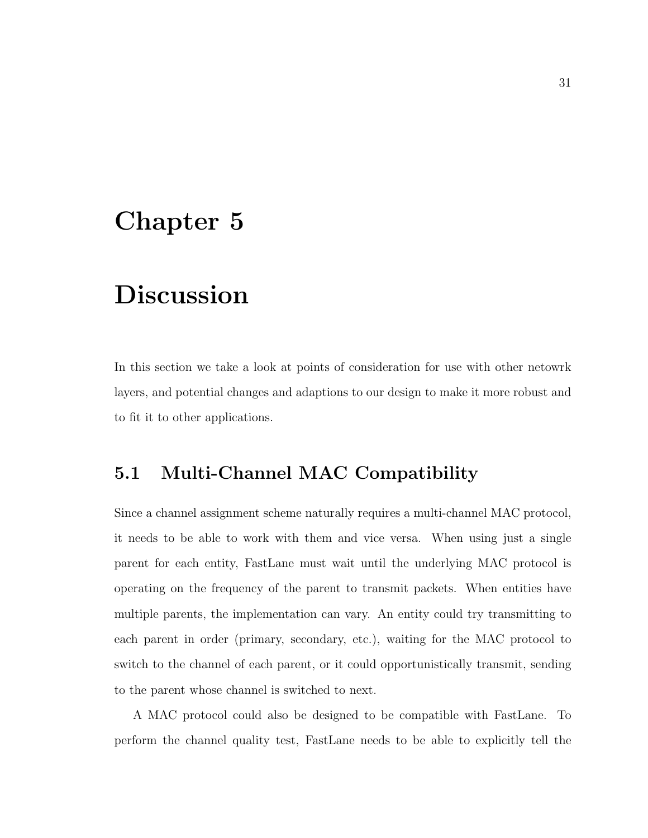# Chapter 5

# Discussion

In this section we take a look at points of consideration for use with other netowrk layers, and potential changes and adaptions to our design to make it more robust and to fit it to other applications.

# 5.1 Multi-Channel MAC Compatibility

Since a channel assignment scheme naturally requires a multi-channel MAC protocol, it needs to be able to work with them and vice versa. When using just a single parent for each entity, FastLane must wait until the underlying MAC protocol is operating on the frequency of the parent to transmit packets. When entities have multiple parents, the implementation can vary. An entity could try transmitting to each parent in order (primary, secondary, etc.), waiting for the MAC protocol to switch to the channel of each parent, or it could opportunistically transmit, sending to the parent whose channel is switched to next.

A MAC protocol could also be designed to be compatible with FastLane. To perform the channel quality test, FastLane needs to be able to explicitly tell the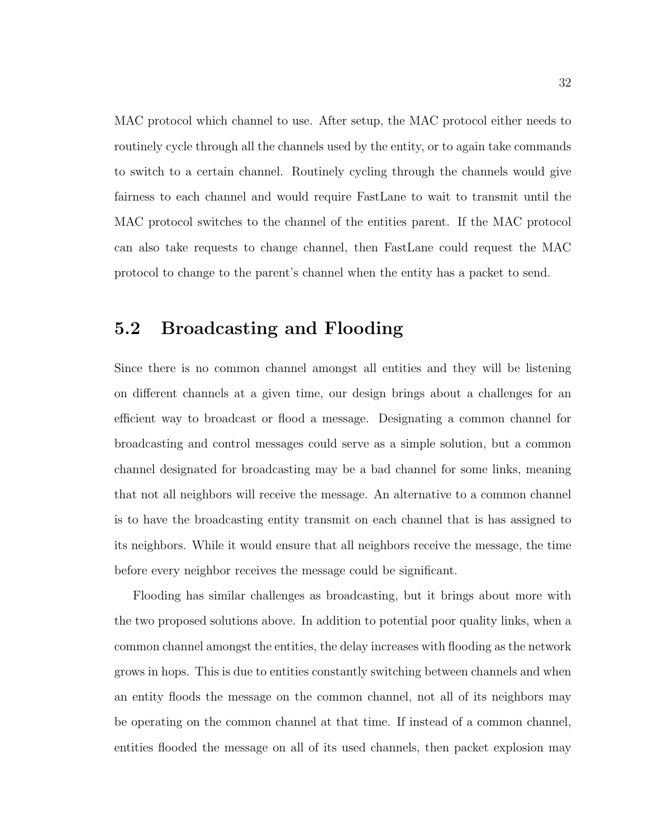MAC protocol which channel to use. After setup, the MAC protocol either needs to routinely cycle through all the channels used by the entity, or to again take commands to switch to a certain channel. Routinely cycling through the channels would give fairness to each channel and would require FastLane to wait to transmit until the MAC protocol switches to the channel of the entities parent. If the MAC protocol can also take requests to change channel, then FastLane could request the MAC protocol to change to the parent's channel when the entity has a packet to send.

### 5.2 Broadcasting and Flooding

Since there is no common channel amongst all entities and they will be listening on different channels at a given time, our design brings about a challenges for an efficient way to broadcast or flood a message. Designating a common channel for broadcasting and control messages could serve as a simple solution, but a common channel designated for broadcasting may be a bad channel for some links, meaning that not all neighbors will receive the message. An alternative to a common channel is to have the broadcasting entity transmit on each channel that is has assigned to its neighbors. While it would ensure that all neighbors receive the message, the time before every neighbor receives the message could be significant.

Flooding has similar challenges as broadcasting, but it brings about more with the two proposed solutions above. In addition to potential poor quality links, when a common channel amongst the entities, the delay increases with flooding as the network grows in hops. This is due to entities constantly switching between channels and when an entity floods the message on the common channel, not all of its neighbors may be operating on the common channel at that time. If instead of a common channel, entities flooded the message on all of its used channels, then packet explosion may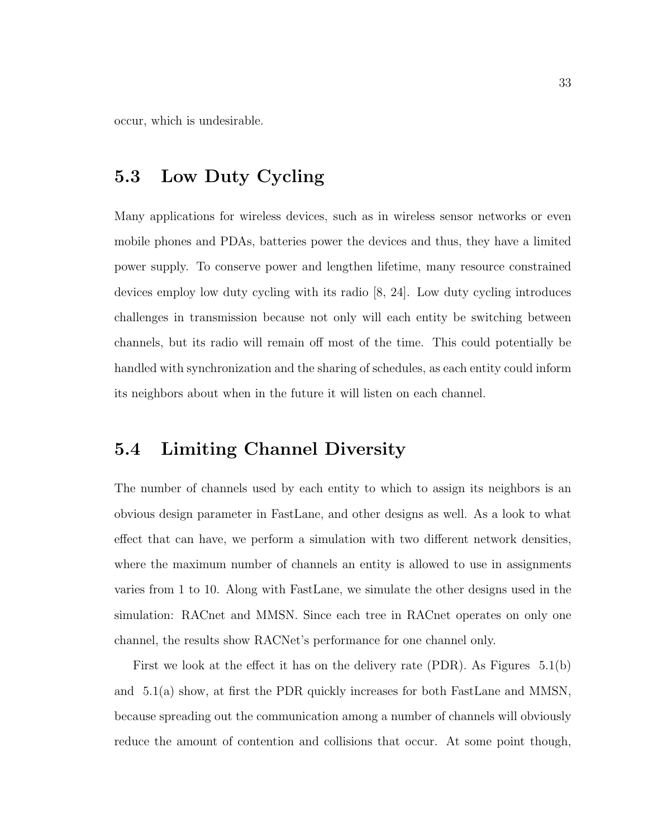occur, which is undesirable.

# 5.3 Low Duty Cycling

Many applications for wireless devices, such as in wireless sensor networks or even mobile phones and PDAs, batteries power the devices and thus, they have a limited power supply. To conserve power and lengthen lifetime, many resource constrained devices employ low duty cycling with its radio [8, 24]. Low duty cycling introduces challenges in transmission because not only will each entity be switching between channels, but its radio will remain off most of the time. This could potentially be handled with synchronization and the sharing of schedules, as each entity could inform its neighbors about when in the future it will listen on each channel.

### 5.4 Limiting Channel Diversity

The number of channels used by each entity to which to assign its neighbors is an obvious design parameter in FastLane, and other designs as well. As a look to what effect that can have, we perform a simulation with two different network densities, where the maximum number of channels an entity is allowed to use in assignments varies from 1 to 10. Along with FastLane, we simulate the other designs used in the simulation: RACnet and MMSN. Since each tree in RACnet operates on only one channel, the results show RACNet's performance for one channel only.

First we look at the effect it has on the delivery rate (PDR). As Figures 5.1(b) and 5.1(a) show, at first the PDR quickly increases for both FastLane and MMSN, because spreading out the communication among a number of channels will obviously reduce the amount of contention and collisions that occur. At some point though,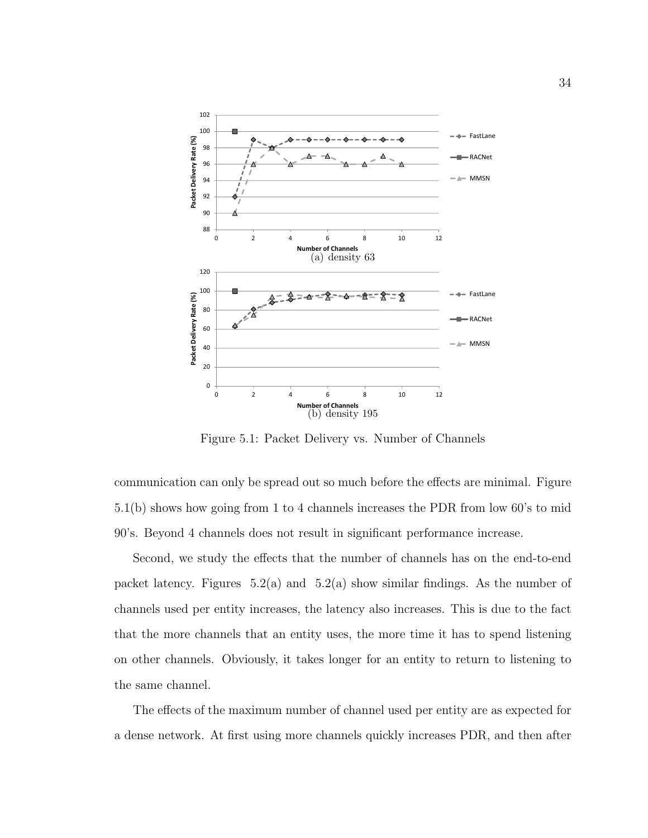![](_page_40_Figure_0.jpeg)

Figure 5.1: Packet Delivery vs. Number of Channels

communication can only be spread out so much before the effects are minimal. Figure 5.1(b) shows how going from 1 to 4 channels increases the PDR from low 60's to mid 90's. Beyond 4 channels does not result in significant performance increase.

Second, we study the effects that the number of channels has on the end-to-end packet latency. Figures  $5.2(a)$  and  $5.2(a)$  show similar findings. As the number of channels used per entity increases, the latency also increases. This is due to the fact that the more channels that an entity uses, the more time it has to spend listening on other channels. Obviously, it takes longer for an entity to return to listening to the same channel.

The effects of the maximum number of channel used per entity are as expected for a dense network. At first using more channels quickly increases PDR, and then after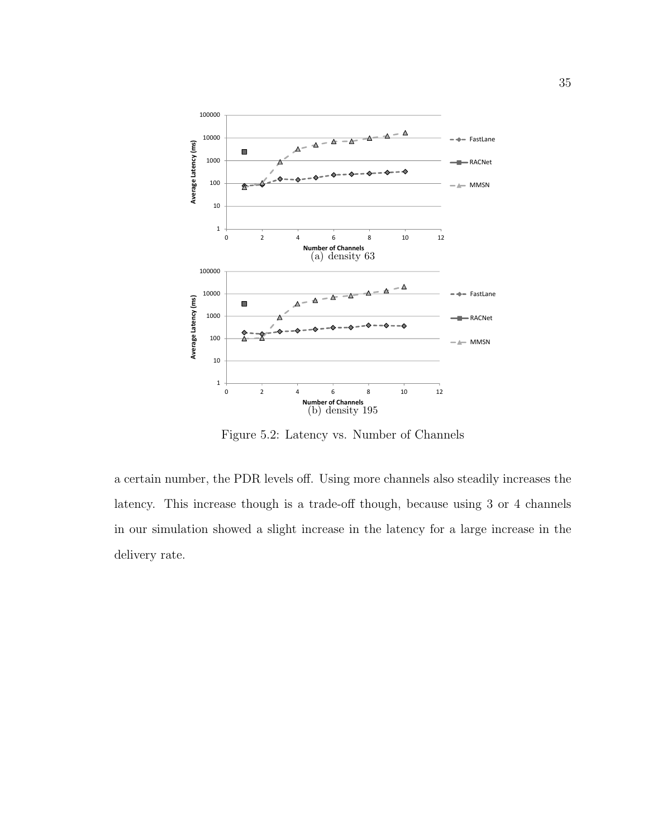![](_page_41_Figure_0.jpeg)

Figure 5.2: Latency vs. Number of Channels

a certain number, the PDR levels off. Using more channels also steadily increases the latency. This increase though is a trade-off though, because using 3 or 4 channels in our simulation showed a slight increase in the latency for a large increase in the delivery rate.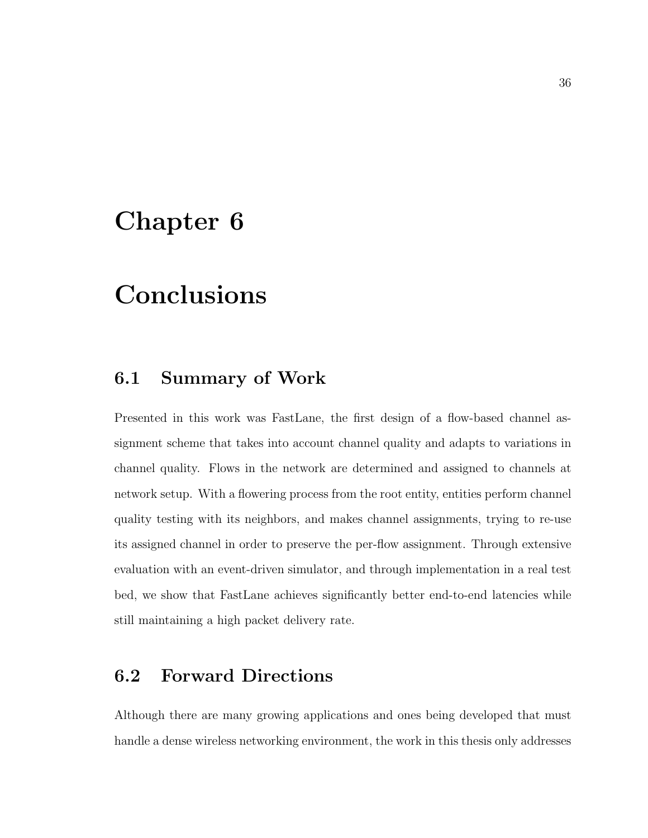# Chapter 6

# Conclusions

### 6.1 Summary of Work

Presented in this work was FastLane, the first design of a flow-based channel assignment scheme that takes into account channel quality and adapts to variations in channel quality. Flows in the network are determined and assigned to channels at network setup. With a flowering process from the root entity, entities perform channel quality testing with its neighbors, and makes channel assignments, trying to re-use its assigned channel in order to preserve the per-flow assignment. Through extensive evaluation with an event-driven simulator, and through implementation in a real test bed, we show that FastLane achieves significantly better end-to-end latencies while still maintaining a high packet delivery rate.

### 6.2 Forward Directions

Although there are many growing applications and ones being developed that must handle a dense wireless networking environment, the work in this thesis only addresses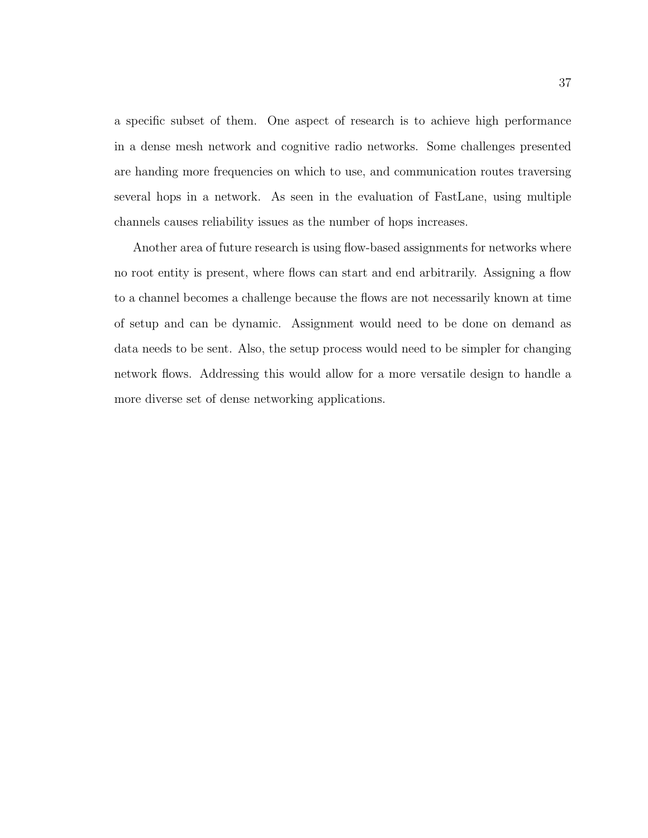a specific subset of them. One aspect of research is to achieve high performance in a dense mesh network and cognitive radio networks. Some challenges presented are handing more frequencies on which to use, and communication routes traversing several hops in a network. As seen in the evaluation of FastLane, using multiple channels causes reliability issues as the number of hops increases.

Another area of future research is using flow-based assignments for networks where no root entity is present, where flows can start and end arbitrarily. Assigning a flow to a channel becomes a challenge because the flows are not necessarily known at time of setup and can be dynamic. Assignment would need to be done on demand as data needs to be sent. Also, the setup process would need to be simpler for changing network flows. Addressing this would allow for a more versatile design to handle a more diverse set of dense networking applications.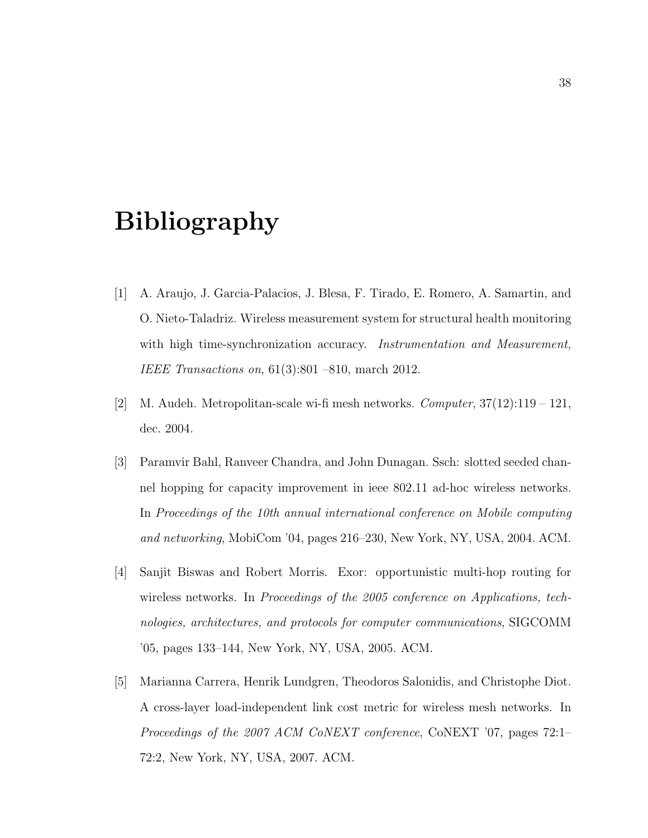# Bibliography

- [1] A. Araujo, J. Garcia-Palacios, J. Blesa, F. Tirado, E. Romero, A. Samartin, and O. Nieto-Taladriz. Wireless measurement system for structural health monitoring with high time-synchronization accuracy. Instrumentation and Measurement, IEEE Transactions on, 61(3):801 –810, march 2012.
- [2] M. Audeh. Metropolitan-scale wi-fi mesh networks. *Computer*,  $37(12):119-121$ , dec. 2004.
- [3] Paramvir Bahl, Ranveer Chandra, and John Dunagan. Ssch: slotted seeded channel hopping for capacity improvement in ieee 802.11 ad-hoc wireless networks. In Proceedings of the 10th annual international conference on Mobile computing and networking, MobiCom '04, pages 216–230, New York, NY, USA, 2004. ACM.
- [4] Sanjit Biswas and Robert Morris. Exor: opportunistic multi-hop routing for wireless networks. In *Proceedings of the 2005 conference on Applications, tech*nologies, architectures, and protocols for computer communications, SIGCOMM '05, pages 133–144, New York, NY, USA, 2005. ACM.
- [5] Marianna Carrera, Henrik Lundgren, Theodoros Salonidis, and Christophe Diot. A cross-layer load-independent link cost metric for wireless mesh networks. In Proceedings of the 2007 ACM CoNEXT conference, CoNEXT '07, pages 72:1– 72:2, New York, NY, USA, 2007. ACM.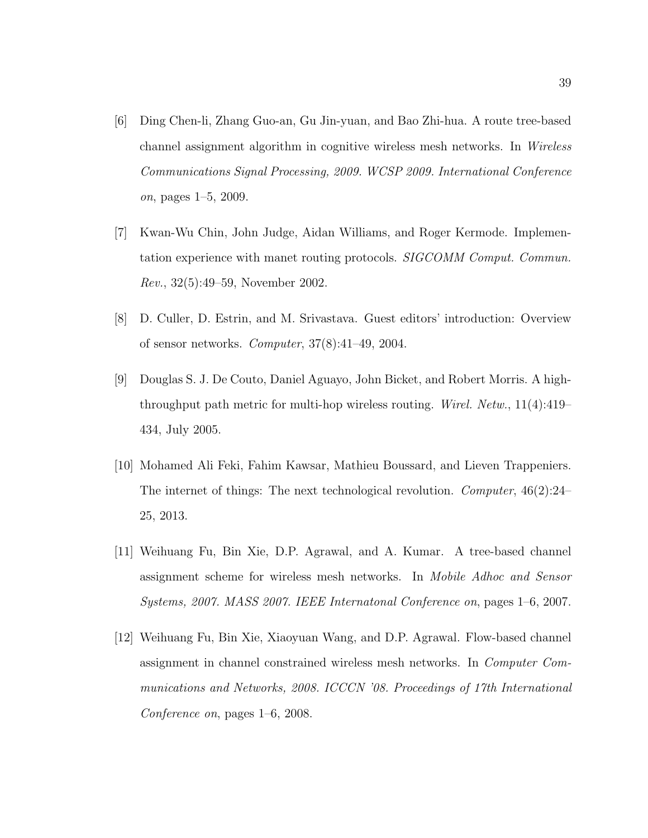- [6] Ding Chen-li, Zhang Guo-an, Gu Jin-yuan, and Bao Zhi-hua. A route tree-based channel assignment algorithm in cognitive wireless mesh networks. In Wireless Communications Signal Processing, 2009. WCSP 2009. International Conference on, pages 1–5, 2009.
- [7] Kwan-Wu Chin, John Judge, Aidan Williams, and Roger Kermode. Implementation experience with manet routing protocols. SIGCOMM Comput. Commun. Rev., 32(5):49–59, November 2002.
- [8] D. Culler, D. Estrin, and M. Srivastava. Guest editors' introduction: Overview of sensor networks. Computer, 37(8):41–49, 2004.
- [9] Douglas S. J. De Couto, Daniel Aguayo, John Bicket, and Robert Morris. A highthroughput path metric for multi-hop wireless routing. Wirel. Netw., 11(4):419– 434, July 2005.
- [10] Mohamed Ali Feki, Fahim Kawsar, Mathieu Boussard, and Lieven Trappeniers. The internet of things: The next technological revolution. Computer,  $46(2):24-$ 25, 2013.
- [11] Weihuang Fu, Bin Xie, D.P. Agrawal, and A. Kumar. A tree-based channel assignment scheme for wireless mesh networks. In Mobile Adhoc and Sensor Systems, 2007. MASS 2007. IEEE Internatonal Conference on, pages 1–6, 2007.
- [12] Weihuang Fu, Bin Xie, Xiaoyuan Wang, and D.P. Agrawal. Flow-based channel assignment in channel constrained wireless mesh networks. In Computer Communications and Networks, 2008. ICCCN '08. Proceedings of 17th International Conference on, pages 1–6, 2008.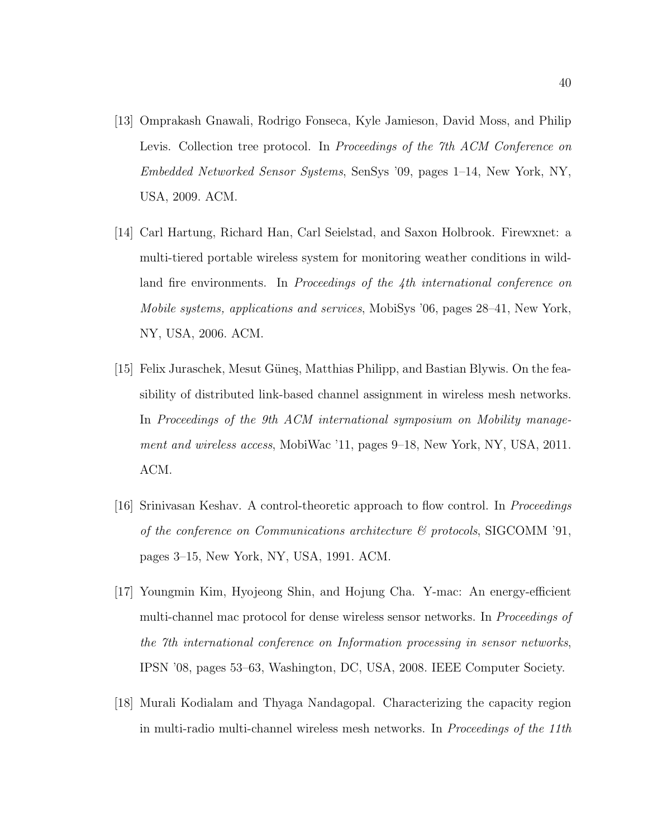- [13] Omprakash Gnawali, Rodrigo Fonseca, Kyle Jamieson, David Moss, and Philip Levis. Collection tree protocol. In *Proceedings of the 7th ACM Conference on* Embedded Networked Sensor Systems, SenSys '09, pages 1–14, New York, NY, USA, 2009. ACM.
- [14] Carl Hartung, Richard Han, Carl Seielstad, and Saxon Holbrook. Firewxnet: a multi-tiered portable wireless system for monitoring weather conditions in wildland fire environments. In *Proceedings of the 4th international conference on* Mobile systems, applications and services, MobiSys '06, pages 28–41, New York, NY, USA, 2006. ACM.
- [15] Felix Juraschek, Mesut Güneş, Matthias Philipp, and Bastian Blywis. On the feasibility of distributed link-based channel assignment in wireless mesh networks. In Proceedings of the 9th ACM international symposium on Mobility management and wireless access, MobiWac '11, pages 9–18, New York, NY, USA, 2011. ACM.
- [16] Srinivasan Keshav. A control-theoretic approach to flow control. In Proceedings of the conference on Communications architecture  $\mathcal{C}$  protocols, SIGCOMM '91, pages 3–15, New York, NY, USA, 1991. ACM.
- [17] Youngmin Kim, Hyojeong Shin, and Hojung Cha. Y-mac: An energy-efficient multi-channel mac protocol for dense wireless sensor networks. In Proceedings of the 7th international conference on Information processing in sensor networks, IPSN '08, pages 53–63, Washington, DC, USA, 2008. IEEE Computer Society.
- [18] Murali Kodialam and Thyaga Nandagopal. Characterizing the capacity region in multi-radio multi-channel wireless mesh networks. In Proceedings of the 11th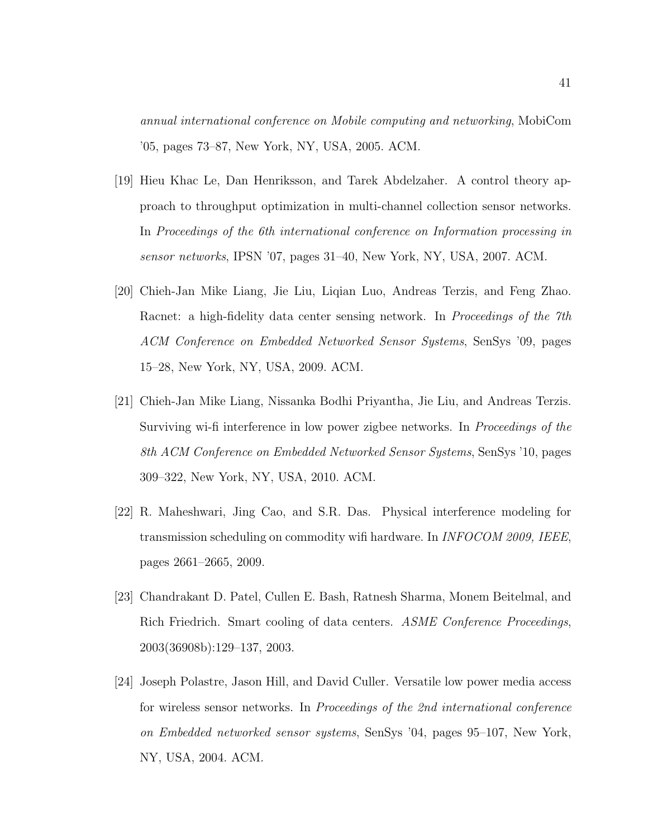annual international conference on Mobile computing and networking, MobiCom '05, pages 73–87, New York, NY, USA, 2005. ACM.

- [19] Hieu Khac Le, Dan Henriksson, and Tarek Abdelzaher. A control theory approach to throughput optimization in multi-channel collection sensor networks. In Proceedings of the 6th international conference on Information processing in sensor networks, IPSN '07, pages 31–40, New York, NY, USA, 2007. ACM.
- [20] Chieh-Jan Mike Liang, Jie Liu, Liqian Luo, Andreas Terzis, and Feng Zhao. Racnet: a high-fidelity data center sensing network. In *Proceedings of the 7th* ACM Conference on Embedded Networked Sensor Systems, SenSys '09, pages 15–28, New York, NY, USA, 2009. ACM.
- [21] Chieh-Jan Mike Liang, Nissanka Bodhi Priyantha, Jie Liu, and Andreas Terzis. Surviving wi-fi interference in low power zigbee networks. In Proceedings of the 8th ACM Conference on Embedded Networked Sensor Systems, SenSys '10, pages 309–322, New York, NY, USA, 2010. ACM.
- [22] R. Maheshwari, Jing Cao, and S.R. Das. Physical interference modeling for transmission scheduling on commodity wifi hardware. In INFOCOM 2009, IEEE, pages 2661–2665, 2009.
- [23] Chandrakant D. Patel, Cullen E. Bash, Ratnesh Sharma, Monem Beitelmal, and Rich Friedrich. Smart cooling of data centers. ASME Conference Proceedings, 2003(36908b):129–137, 2003.
- [24] Joseph Polastre, Jason Hill, and David Culler. Versatile low power media access for wireless sensor networks. In Proceedings of the 2nd international conference on Embedded networked sensor systems, SenSys '04, pages 95–107, New York, NY, USA, 2004. ACM.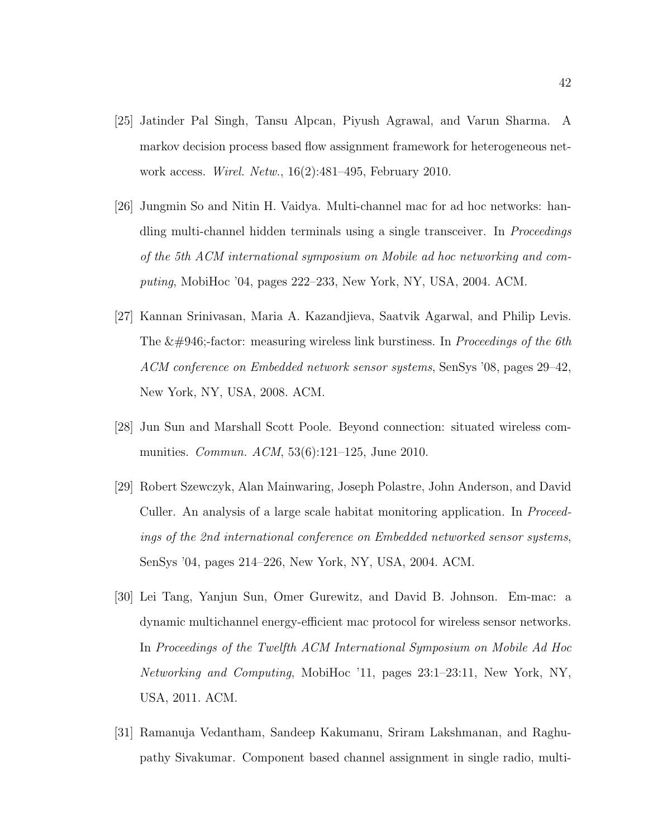- [25] Jatinder Pal Singh, Tansu Alpcan, Piyush Agrawal, and Varun Sharma. A markov decision process based flow assignment framework for heterogeneous network access. Wirel. Netw., 16(2):481–495, February 2010.
- [26] Jungmin So and Nitin H. Vaidya. Multi-channel mac for ad hoc networks: handling multi-channel hidden terminals using a single transceiver. In *Proceedings* of the 5th ACM international symposium on Mobile ad hoc networking and computing, MobiHoc '04, pages 222–233, New York, NY, USA, 2004. ACM.
- [27] Kannan Srinivasan, Maria A. Kazandjieva, Saatvik Agarwal, and Philip Levis. The β-factor: measuring wireless link burstiness. In *Proceedings of the 6th* ACM conference on Embedded network sensor systems, SenSys '08, pages 29–42, New York, NY, USA, 2008. ACM.
- [28] Jun Sun and Marshall Scott Poole. Beyond connection: situated wireless communities. Commun. ACM, 53(6):121–125, June 2010.
- [29] Robert Szewczyk, Alan Mainwaring, Joseph Polastre, John Anderson, and David Culler. An analysis of a large scale habitat monitoring application. In Proceedings of the 2nd international conference on Embedded networked sensor systems, SenSys '04, pages 214–226, New York, NY, USA, 2004. ACM.
- [30] Lei Tang, Yanjun Sun, Omer Gurewitz, and David B. Johnson. Em-mac: a dynamic multichannel energy-efficient mac protocol for wireless sensor networks. In Proceedings of the Twelfth ACM International Symposium on Mobile Ad Hoc Networking and Computing, MobiHoc '11, pages 23:1–23:11, New York, NY, USA, 2011. ACM.
- [31] Ramanuja Vedantham, Sandeep Kakumanu, Sriram Lakshmanan, and Raghupathy Sivakumar. Component based channel assignment in single radio, multi-